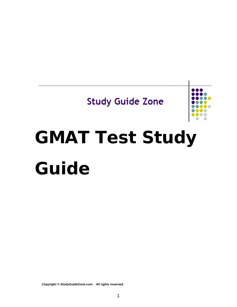# **Study Guide Zone**



# **GMAT Test Study Guide**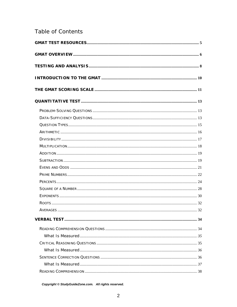# Table of Contents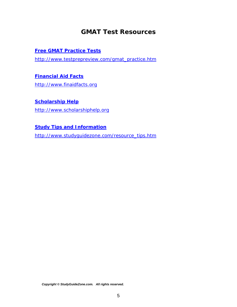# *GMAT Test Resources*

#### <span id="page-4-0"></span>**[Free GMAT Practice Tests](http://www.testprepreview.com/gmat_practice.htm)**

[http://www.testprepreview.com/gmat\\_practice.htm](http://www.testprepreview.com/gmat_practice.htm)

#### **[Financial Aid Facts](http://www.finaidfacts.org/)**

[http://www.finaidfacts.org](http://www.finaidfacts.org/)

#### **[Scholarship Help](http://www.scholarshiphelp.org/)**

[http://www.scholarshiphelp.org](http://www.scholarshiphelp.org/)

#### **[Study Tips and Information](http://www.studyguidezone.com/resource_tips.htm)**

[http://www.studyguidezone.com/resource\\_tips.htm](http://www.studyguidezone.com/resource_tips.htm)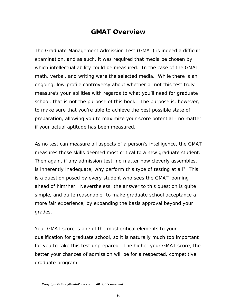# *GMAT Overview*

<span id="page-5-0"></span>The Graduate Management Admission Test (GMAT) is indeed a difficult examination, and as such, it was required that media be chosen by which intellectual ability could be measured. In the case of the GMAT, math, verbal, and writing were the selected media. While there is an ongoing, low-profile controversy about whether or not this test truly measure's your abilities with regards to what you'll need for graduate school, that is not the purpose of this book. The purpose is, however, to make sure that you're able to achieve the best possible state of preparation, allowing you to maximize your score potential - no matter if your actual aptitude has been measured.

As no test can measure all aspects of a person's intelligence, the GMAT measures those skills deemed most critical to a new graduate student. Then again, if any admission test, no matter how cleverly assembles, is inherently inadequate, why perform this type of testing at all? This is a question posed by every student who sees the GMAT looming ahead of him/her. Nevertheless, the answer to this question is quite simple, and quite reasonable; to make graduate school acceptance a more fair experience, by expanding the basis approval beyond your grades.

Your GMAT score is one of the most critical elements to your qualification for graduate school, so it is naturally much too important for you to take this test unprepared. The higher your GMAT score, the better your chances of admission will be for a respected, competitive graduate program.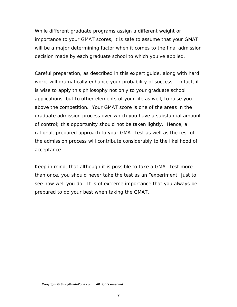While different graduate programs assign a different weight or importance to your GMAT scores, it is safe to assume that your GMAT will be a major determining factor when it comes to the final admission decision made by each graduate school to which you've applied.

Careful preparation, as described in this expert guide, along with hard work, will dramatically enhance your probability of success. In fact, it is wise to apply this philosophy not only to your graduate school applications, but to other elements of your life as well, to raise you above the competition. Your GMAT score is one of the areas in the graduate admission process over which you have a substantial amount of control; this opportunity should not be taken lightly. Hence, a rational, prepared approach to your GMAT test as well as the rest of the admission process will contribute considerably to the likelihood of acceptance.

Keep in mind, that although it is possible to take a GMAT test more than once, you should never take the test as an "experiment" just to see how well you do. It is of extreme importance that you always be prepared to do your best when taking the GMAT.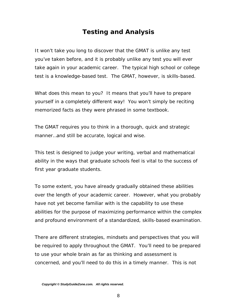# *Testing and Analysis*

<span id="page-7-0"></span>It won't take you long to discover that the GMAT is unlike any test you've taken before, and it is probably unlike any test you will ever take again in your academic career. The typical high school or college test is a knowledge-based test. The GMAT, however, is skills-based.

What does this mean to you? It means that you'll have to prepare yourself in a completely different way! You won't simply be reciting memorized facts as they were phrased in some textbook.

The GMAT requires you to think in a thorough, quick and strategic manner…and still be accurate, logical and wise.

This test is designed to judge your writing, verbal and mathematical ability in the ways that graduate schools feel is vital to the success of first year graduate students.

To some extent, you have already gradually obtained these abilities over the length of your academic career. However, what you probably have not yet become familiar with is the capability to use these abilities for the purpose of maximizing performance within the complex and profound environment of a standardized, skills-based examination.

There are different strategies, mindsets and perspectives that you will be required to apply throughout the GMAT. You'll need to be prepared to use your whole brain as far as thinking and assessment is concerned, and you'll need to do this in a timely manner. This is not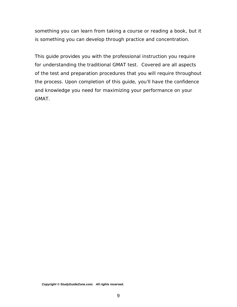something you can learn from taking a course or reading a book, but it is something you can develop through practice and concentration.

This guide provides you with the professional instruction you require for understanding the traditional GMAT test. Covered are all aspects of the test and preparation procedures that you will require throughout the process. Upon completion of this guide, you'll have the confidence and knowledge you need for maximizing your performance on your GMAT.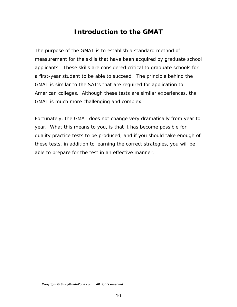# *Introduction to the GMAT*

<span id="page-9-0"></span>The purpose of the GMAT is to establish a standard method of measurement for the skills that have been acquired by graduate school applicants. These skills are considered critical to graduate schools for a first-year student to be able to succeed. The principle behind the GMAT is similar to the SAT's that are required for application to American colleges. Although these tests are similar experiences, the GMAT is much more challenging and complex.

Fortunately, the GMAT does not change very dramatically from year to year. What this means to you, is that it has become possible for quality practice tests to be produced, and if you should take enough of these tests, in addition to learning the correct strategies, you will be able to prepare for the test in an effective manner.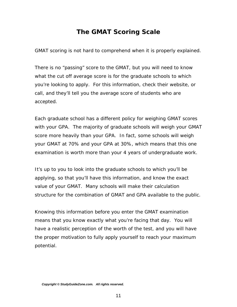# *The GMAT Scoring Scale*

<span id="page-10-0"></span>GMAT scoring is not hard to comprehend when it is properly explained.

There is no "passing" score to the GMAT, but you will need to know what the cut off average score is for the graduate schools to which you're looking to apply. For this information, check their website, or call, and they'll tell you the average score of students who are accepted.

Each graduate school has a different policy for weighing GMAT scores with your GPA. The majority of graduate schools will weigh your GMAT score more heavily than your GPA. In fact, some schools will weigh your GMAT at 70% and your GPA at 30%, which means that this one examination is worth more than your 4 years of undergraduate work.

It's up to you to look into the graduate schools to which you'll be applying, so that you'll have this information, and know the exact value of your GMAT. Many schools will make their calculation structure for the combination of GMAT and GPA available to the public.

Knowing this information before you enter the GMAT examination means that you know exactly what you're facing that day. You will have a realistic perception of the worth of the test, and you will have the proper motivation to fully apply yourself to reach your maximum potential.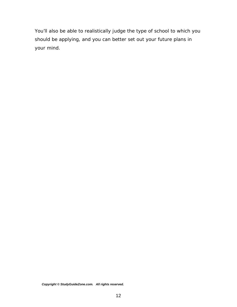You'll also be able to realistically judge the type of school to which you should be applying, and you can better set out your future plans in your mind.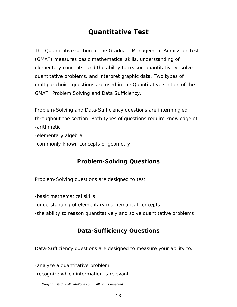# *Quantitative Test*

<span id="page-12-0"></span>The Quantitative section of the Graduate Management Admission Test (GMAT) measures basic mathematical skills, understanding of elementary concepts, and the ability to reason quantitatively, solve quantitative problems, and interpret graphic data. Two types of multiple-choice questions are used in the Quantitative section of the GMAT: Problem Solving and Data Sufficiency.

Problem-Solving and Data-Sufficiency questions are intermingled throughout the section. Both types of questions require knowledge of: -arithmetic

- -elementary algebra
- -commonly known concepts of geometry

# **Problem-Solving Questions**

Problem-Solving questions are designed to test:

-basic mathematical skills

-understanding of elementary mathematical concepts

-the ability to reason quantitatively and solve quantitative problems

## **Data-Sufficiency Questions**

Data-Sufficiency questions are designed to measure your ability to:

-analyze a quantitative problem

-recognize which information is relevant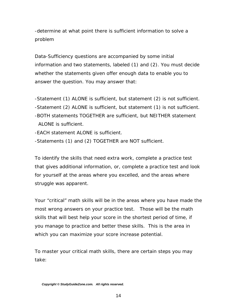-determine at what point there is sufficient information to solve a problem

Data-Sufficiency questions are accompanied by some initial information and two statements, labeled (1) and (2). You must decide whether the statements given offer enough data to enable you to answer the question. You may answer that:

- -Statement (1) ALONE is sufficient, but statement (2) is not sufficient.
- -Statement (2) ALONE is sufficient, but statement (1) is not sufficient.
- -BOTH statements TOGETHER are sufficient, but NEITHER statement ALONE is sufficient.
- -EACH statement ALONE is sufficient.
- -Statements (1) and (2) TOGETHER are NOT sufficient.

To identify the skills that need extra work, complete a practice test that gives additional information, or, complete a practice test and look for yourself at the areas where you excelled, and the areas where struggle was apparent.

Your "critical" math skills will be in the areas where you have made the most wrong answers on your practice test. Those will be the math skills that will best help your score in the shortest period of time, if you manage to practice and better these skills. This is the area in which you can maximize your score increase potential.

To master your critical math skills, there are certain steps you may take: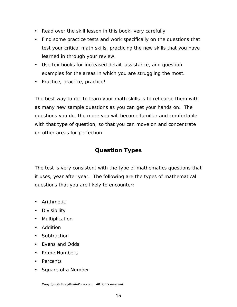- <span id="page-14-0"></span>• Read over the skill lesson in this book, very carefully
- Find some practice tests and work specifically on the questions that test your critical math skills, practicing the new skills that you have learned in through your review.
- Use textbooks for increased detail, assistance, and question examples for the areas in which you are struggling the most.
- Practice, practice, practice!

The best way to get to learn your math skills is to rehearse them with as many new sample questions as you can get your hands on. The questions you do, the more you will become familiar and comfortable with that type of question, so that you can move on and concentrate on other areas for perfection.

#### **Question Types**

The test is very consistent with the type of mathematics questions that it uses, year after year. The following are the types of mathematical questions that you are likely to encounter:

- Arithmetic
- Divisibility
- Multiplication
- Addition
- Subtraction
- Evens and Odds
- Prime Numbers
- Percents
- Square of a Number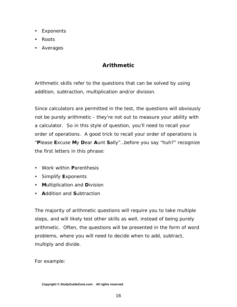- <span id="page-15-0"></span>• Exponents
- Roots
- Averages

# **Arithmetic**

Arithmetic skills refer to the questions that can be solved by using addition, subtraction, multiplication and/or division.

Since calculators are permitted in the test, the questions will obviously not be purely arithmetic - they're not out to measure your ability with a calculator. So in this style of question, you'll need to recall your *order of operations*. A good trick to recall your order of operations is "**P**lease **E**xcuse **M**y **D**ear **A**unt **S**ally"…before you say "huh?" recognize the first letters in this phrase:

- Work within **Parenthesis**
- y Simplify **E**xponents
- **Multiplication and Division**
- **Addition and Subtraction**

The majority of arithmetic questions will require you to take multiple steps, and will likely test other skills as well, instead of being purely arithmetic. Often, the questions will be presented in the form of word problems, where you will need to decide when to add, subtract, multiply and divide.

For example: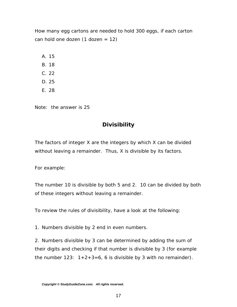<span id="page-16-0"></span>*How many egg cartons are needed to hold 300 eggs, if each carton can hold one dozen (1 dozen = 12)* 

A. 15

- B. 18
- C. 22
- D. 25
- E. 28

Note: the answer is 25

# **Divisibility**

The factors of integer X are the integers by which X can be divided without leaving a remainder. Thus, X is divisible by its factors.

For example:

The number 10 is divisible by both 5 and 2. 10 can be divided by both of these integers without leaving a remainder.

To review the rules of divisibility, have a look at the following:

1. Numbers divisible by 2 end in even numbers.

2. Numbers divisible by 3 can be determined by adding the sum of their digits and checking if that number is divisible by 3 (for example the number  $123: 1+2+3=6$ , 6 is divisible by 3 with no remainder).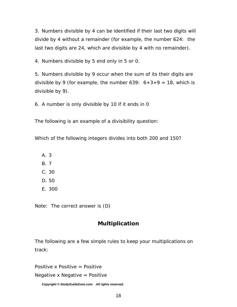<span id="page-17-0"></span>3. Numbers divisible by 4 can be identified if their last two digits will divide by 4 without a remainder (for example, the number 624: the last two digits are 24, which are divisible by 4 with no remainder).

4. Numbers divisible by 5 end only in 5 or 0.

5. Numbers divisible by 9 occur when the sum of its their digits are divisible by 9 (for example, the number  $639: 6+3+9 = 18$ , which is divisible by 9).

6. A number is only divisible by 10 if it ends in 0

The following is an example of a divisibility question:

*Which of the following integers divides into both 200 and 150?* 

- A. 3
- B. 7
- C. 30
- D. 50
- E. 300

Note: The correct answer is (D)

## **Multiplication**

The following are a few simple rules to keep your multiplications on track:

Positive x Positive = Positive

Negative x Negative  $=$  Positive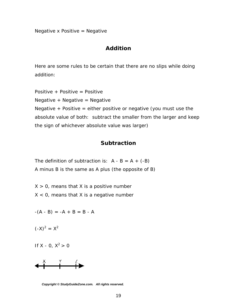<span id="page-18-0"></span>Negative x Positive  $=$  Negative

#### **Addition**

Here are some rules to be certain that there are no slips while doing addition:

Positive + Positive = Positive Negative  $+$  Negative  $=$  Negative Negative  $+$  Positive = either positive or negative (you must use the absolute value of both: subtract the smaller from the larger and keep the sign of whichever absolute value was larger)

#### **Subtraction**

The definition of subtraction is:  $A - B = A + (-B)$ A minus B is the same as A plus (the opposite of B)

 $X > 0$ , means that X is a positive number  $X < 0$ , means that X is a negative number

$$
-(A - B) = -A + B = B - A
$$

 $(-X)^2 = X^2$ 

If X - 0,  $X^2 > 0$ 



*Copyright © StudyGuideZone.com. All rights reserved.*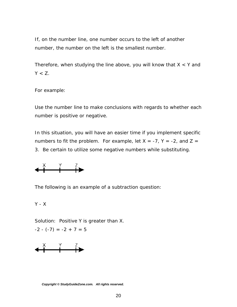If, on the number line, one number occurs to the left of another number, the number on the left is the smallest number.

Therefore, when studying the line above, you will know that  $X < Y$  and  $Y < Z$ .

For example:

Use the number line to make conclusions with regards to whether each number is positive or negative.

In this situation, you will have an easier time if you implement specific numbers to fit the problem. For example, let  $X = -7$ ,  $Y = -2$ , and  $Z =$ 3. Be certain to utilize some negative numbers while substituting.



The following is an example of a subtraction question:

$$
Y\cdot X
$$

Solution: Positive Y is greater than X.

$$
-2 - (-7) = -2 + 7 = 5
$$

$$
\leftarrow \stackrel{\times}{\leftarrow} \stackrel{\gamma}{\leftarrow} \stackrel{?}{\leftarrow}
$$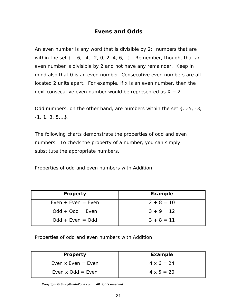#### **Evens and Odds**

<span id="page-20-0"></span>An even number is any word that is divisible by 2: numbers that are within the set  $\{...$ -6, -4, -2, 0, 2, 4, 6,...}. Remember, though, that an even number is divisible by 2 and not have any remainder. Keep in mind also that 0 is an even number. Consecutive even numbers are all located 2 units apart. For example, if x is an even number, then the next consecutive even number would be represented as  $X + 2$ .

Odd numbers, on the other hand, are numbers within the set {…-5, -3,  $-1, 1, 3, 5, \ldots$ .

The following charts demonstrate the properties of odd and even numbers. To check the property of a number, you can simply substitute the appropriate numbers.

*Properties of odd and even numbers with Addition*

| <b>Property</b>      | <b>Example</b> |
|----------------------|----------------|
| $Even + Even = Even$ | $2 + 8 = 10$   |
| $Odd + Odd = Even$   | $3 + 9 = 12$   |
| $Odd + Even = Odd$   | $3 + 8 = 11$   |

*Properties of odd and even numbers with Addition* 

| <b>Property</b>      | <b>Example</b>    |
|----------------------|-------------------|
| Even $x$ Even = Even | $4 \times 6 = 24$ |
| Even $x$ Odd = Even  | $4 \times 5 = 20$ |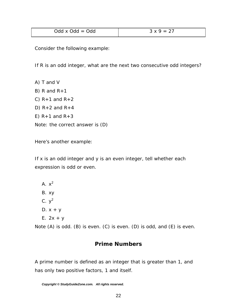<span id="page-21-0"></span>

| $Odd \times Odd = Odd$ | . 27<br>2 V O<br>$=$ |
|------------------------|----------------------|
|                        |                      |

Consider the following example:

*If R is an odd integer, what are the next two consecutive odd integers?* 

A) T and V

B) R and  $R+1$ 

C)  $R+1$  and  $R+2$ 

D)  $R+2$  and  $R+4$ 

E)  $R+1$  and  $R+3$ 

Note: the correct answer is (D)

Here's another example:

*If x is an odd integer and y is an even integer, tell whether each expression is odd or even.* 

- A.  $x^2$
- B. xy
- C.  $y^2$
- D.  $x + y$
- E.  $2x + y$

Note (A) is odd. (B) is even. (C) is even. (D) is odd, and (E) is even.

#### **Prime Numbers**

A prime number is defined as an integer that is greater than 1, and has only two positive factors, 1 and itself.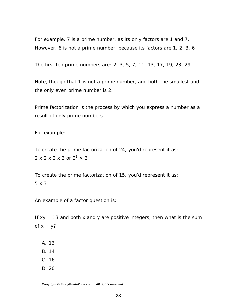For example, 7 is a prime number, as its only factors are 1 and 7. However, 6 is not a prime number, because its factors are 1, 2, 3, 6

The first ten prime numbers are: 2, 3, 5, 7, 11, 13, 17, 19, 23, 29

Note, though that 1 is not a prime number, and both the smallest and the only even prime number is 2.

Prime factorization is the process by which you express a number as a result of only prime numbers.

For example:

To create the prime factorization of 24, you'd represent it as:  $2 \times 2 \times 2 \times 3$  or  $2^3 \times 3$ 

To create the prime factorization of 15, you'd represent it as: 5 x 3

An example of a factor question is:

*If xy = 13 and both x and y are positive integers, then what is the sum of x + y?*

- A. 13
- B. 14
- C. 16
- D. 20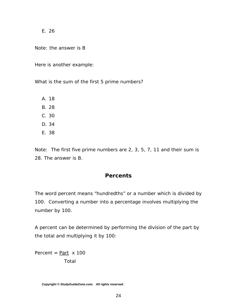<span id="page-23-0"></span>E. 26

Note: the answer is B

Here is another example:

*What is the sum of the first 5 prime numbers?* 

A. 18

B. 28

- C. 30
- D. 34
- E. 38

Note: The first five prime numbers are 2, 3, 5, 7, 11 and their sum is 28. The answer is B.

#### **Percents**

The word percent means "hundredths" or a number which is divided by 100. Converting a number into a percentage involves multiplying the number by 100.

A percent can be determined by performing the division of the part by the total and multiplying it by 100:

Percent =  $Part \times 100$ Total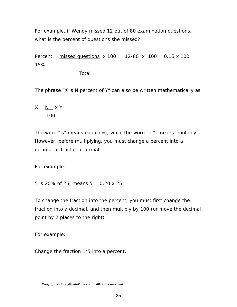For example, if Wendy missed 12 out of 80 examination questions, what is the percent of questions she missed?

Percent =  $missed questions x 100 = 12/80 x 100 = 0.15 x 100 = 0.15 x 100$ 15%

Total

The phrase "X is N percent of Y" can also be written mathematically as

$$
X = \underline{N} \times Y
$$
  
100

The word "is" means equal  $(=)$ , while the word "of" means "multiply" However, before multiplying, you must change a percent into a decimal or fractional format.

For example:

*5 is 20% of 25, means 5 = 0.20 x 25*

To change the fraction into the percent, you must first change the fraction into a decimal, and then multiply by 100 (or move the decimal point by 2 places to the right)

For example:

*Change the fraction 1/5 into a percent.*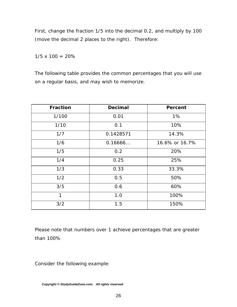First, change the fraction 1/5 into the decimal 0.2, and multiply by 100 (move the decimal 2 places to the right). Therefore:

 $1/5 \times 100 = 20\%$ 

The following table provides the common percentages that you will use on a regular basis, and may wish to memorize.

| <b>Fraction</b> | <b>Decimal</b> | <b>Percent</b> |
|-----------------|----------------|----------------|
| 1/100           | 0.01           | 1%             |
| 1/10            | 0.1            | 10%            |
| 1/7             | 0.1428571      | 14.3%          |
| 1/6             | 0.16666        | 16.6% or 16.7% |
| 1/5             | 0.2            |                |
| 1/4             | 0.25           | 25%            |
| 1/3             | 0.33           | 33.3%          |
| 1/2             | 0.5            | 50%            |
| 3/5             | 0.6            | 60%            |
| 1               | 1.0            |                |
| 3/2             | 1.5            | 150%           |

Please note that numbers over 1 achieve percentages that are greater than 100%

Consider the following example: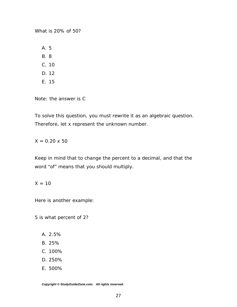*What is 20% of 50?*

A. 5

B. 8

- C. 10
- D. 12
- E. 15

Note: the answer is C

To solve this question, you must rewrite it as an algebraic question. Therefore, let x represent the unknown number.

 $X = 0.20 \times 50$ 

Keep in mind that to change the percent to a decimal, and that the word "of" means that you should multiply.

#### $X = 10$

Here is another example:

*5 is what percent of 2?* 

- A. 2.5%
- B. 25%
- C. 100%
- D. 250%
- E. 500%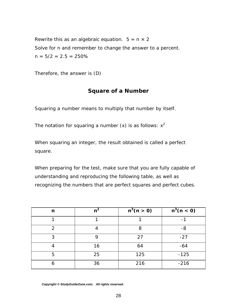<span id="page-27-0"></span>Rewrite this as an algebraic equation.  $5 = n \times 2$ Solve for n and remember to change the answer to a percent.  $n = 5/2 = 2.5 = 250\%$ 

Therefore, the answer is (D)

#### **Square of a Number**

Squaring a number means to multiply that number by itself.

The notation for squaring a number  $(x)$  is as follows:  $x^2$ 

When squaring an integer, the result obtained is called a perfect square.

When preparing for the test, make sure that you are fully capable of understanding and reproducing the following table, as well as recognizing the numbers that are perfect squares and perfect cubes.

| n | $n^2$ | $\frac{1}{n^3(n>0)}$ | $\frac{1}{n^3(n} < 0)$ |
|---|-------|----------------------|------------------------|
|   |       |                      |                        |
| 2 |       | 8                    | -8                     |
| 3 | 9     | 27                   | $-27$                  |
|   | 16    | 64                   | $-64$                  |
| 5 | 25    | 125                  | $-125$                 |
| 6 | 36    | 216                  | $-216$                 |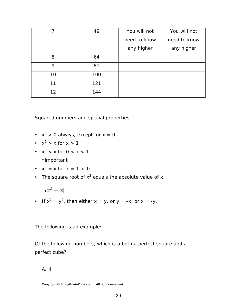| 7  | 49  | You will not | You will not |
|----|-----|--------------|--------------|
|    |     | need to know | need to know |
|    |     | any higher   | any higher   |
| 8  | 64  |              |              |
| 9  | 81  |              |              |
| 10 | 100 |              |              |
| 11 | 121 |              |              |
| 12 | 144 |              |              |

Squared numbers and special properties

- $x^2 > 0$  always, except for  $x = 0$
- $x^2 > x$  for  $x > 1$
- $x^2 < x$  for  $0 < x < 1$

\*important

• 
$$
x^2 = x
$$
 for  $x = 1$  or 0

• The square root of  $x^2$  equals the absolute value of x.

$$
\sqrt{\mathbf{x}^2} = |\mathbf{x}|
$$

If  $x^2 = y^2$ , then either  $x = y$ , or  $y = -x$ , or  $x = -y$ .

The following is an example:

*Of the following numbers, which is a both a perfect square and a perfect cube?* 

A. 4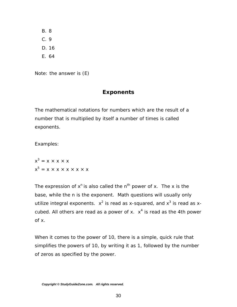<span id="page-29-0"></span>B. 8

C. 9

D. 16

E. 64

Note: the answer is (E)

# **Exponents**

The mathematical notations for numbers which are the result of a number that is multiplied by itself a number of times is called exponents.

Examples:

$$
x3 = x \times x \times x
$$
  

$$
x5 = x \times x \times x \times x \times x
$$

The expression of  $x^n$  is also called the  $n^{th}$  power of x. The x is the base, while the n is the exponent. Math questions will usually only utilize integral exponents.  $x^2$  is read as x-squared, and  $x^3$  is read as xcubed. All others are read as a power of x.  $x^4$  is read as the 4th power of x.

When it comes to the power of 10, there is a simple, quick rule that simplifies the powers of 10, by writing it as 1, followed by the number of zeros as specified by the power.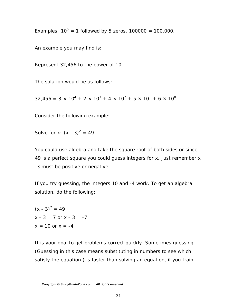Examples:  $10^5 = 1$  followed by 5 zeros. 100000 = 100,000.

An example you may find is:

*Represent 32,456 to the power of 10*.

The solution would be as follows:

 $32,456 = 3 \times 10^4 + 2 \times 10^3 + 4 \times 10^2 + 5 \times 10^1 + 6 \times 10^0$ 

Consider the following example:

Solve for x:  $(x - 3)^2 = 49$ .

You could use algebra and take the square root of both sides or since 49 is a perfect square you could guess integers for x. Just remember x -3 must be positive or negative.

If you try guessing, the integers 10 and -4 work. To get an algebra solution, do the following:

 $(x - 3)^2 = 49$  $x - 3 = 7$  or  $x - 3 = -7$  $x = 10$  or  $x = -4$ 

It is your goal to get problems correct quickly. Sometimes guessing (Guessing in this case means substituting in numbers to see which satisfy the equation.) is faster than solving an equation, if you train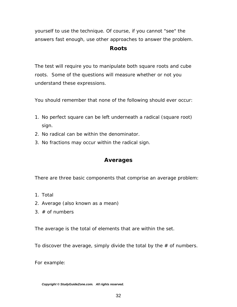<span id="page-31-0"></span>yourself to use the technique. Of course, if you cannot "see" the answers fast enough, use other approaches to answer the problem.

#### **Roots**

The test will require you to manipulate both square roots and cube roots. Some of the questions will measure whether or not you understand these expressions.

You should remember that none of the following should ever occur:

- 1. No perfect square can be left underneath a radical (square root) sign.
- 2. No radical can be within the denominator.
- 3. No fractions may occur within the radical sign.

#### **Averages**

There are three basic components that comprise an average problem:

- 1. Total
- 2. Average (also known as a mean)
- $3.$  # of numbers

The average is the total of elements that are within the set.

To discover the average, simply divide the total by the  $#$  of numbers.

For example: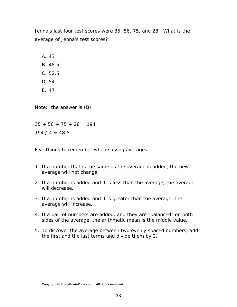*Jenna's last four test scores were 35, 56, 75, and 28. What is the average of Jenna's test scores?* 

A. 43

- B. 48.5
- C. 52.5
- D. 54
- E. 47

Note: the answer is (B).

 $35 + 56 + 75 + 28 = 194$ 

 $194 / 4 = 48.5$ 

Five things to remember when solving averages:

- 1. If a number that is the same as the average is added, the new average will not change.
- 2. If a number is added and it is less than the average, the average will decrease.
- 3. If a number is added and it is greater than the average, the average will increase.
- 4. If a pair of numbers are added, and they are "balanced" on both sides of the average, the arithmetic mean is the middle value.
- 5. To discover the average between two evenly spaced numbers, add the first and the last terms and divide them by 2.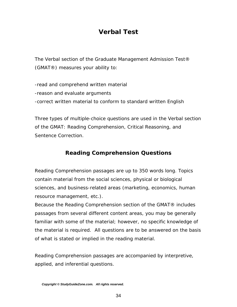# *Verbal Test*

<span id="page-33-0"></span>The Verbal section of the Graduate Management Admission Test® (GMAT®) measures your ability to:

-read and comprehend written material -reason and evaluate arguments -correct written material to conform to standard written English

Three types of multiple-choice questions are used in the Verbal section of the GMAT: Reading Comprehension, Critical Reasoning, and Sentence Correction.

# **Reading Comprehension Questions**

Reading Comprehension passages are up to 350 words long. Topics contain material from the social sciences, physical or biological sciences, and business-related areas (marketing, economics, human resource management, etc.).

Because the Reading Comprehension section of the GMAT® includes passages from several different content areas, you may be generally familiar with some of the material; however, no specific knowledge of the material is required. All questions are to be answered on the basis of what is stated or implied in the reading material.

Reading Comprehension passages are accompanied by interpretive, applied, and inferential questions.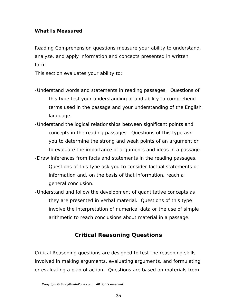#### <span id="page-34-0"></span>*What Is Measured*

Reading Comprehension questions measure your ability to understand, analyze, and apply information and concepts presented in written form.

This section evaluates your ability to:

- -Understand words and statements in reading passages. Questions of this type test your understanding of and ability to comprehend terms used in the passage and your understanding of the English language.
- -Understand the logical relationships between significant points and concepts in the reading passages. Questions of this type ask you to determine the strong and weak points of an argument or to evaluate the importance of arguments and ideas in a passage.
- -Draw inferences from facts and statements in the reading passages. Questions of this type ask you to consider factual statements or information and, on the basis of that information, reach a general conclusion.
- -Understand and follow the development of quantitative concepts as they are presented in verbal material. Questions of this type involve the interpretation of numerical data or the use of simple arithmetic to reach conclusions about material in a passage.

#### **Critical Reasoning Questions**

Critical Reasoning questions are designed to test the reasoning skills involved in making arguments, evaluating arguments, and formulating or evaluating a plan of action. Questions are based on materials from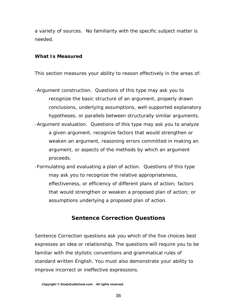<span id="page-35-0"></span>a variety of sources. No familiarity with the specific subject matter is needed.

#### *What Is Measured*

This section measures your ability to reason effectively in the areas of:

- -Argument construction. Questions of this type may ask you to recognize the basic structure of an argument, properly drawn conclusions, underlying assumptions, well-supported explanatory hypotheses, or parallels between structurally similar arguments. -Argument evaluation. Questions of this type may ask you to analyze a given argument, recognize factors that would strengthen or weaken an argument, reasoning errors committed in making an argument, or aspects of the methods by which an argument proceeds.
- -Formulating and evaluating a plan of action. Questions of this type may ask you to recognize the relative appropriateness, effectiveness, or efficiency of different plans of action; factors that would strengthen or weaken a proposed plan of action; or assumptions underlying a proposed plan of action.

#### **Sentence Correction Questions**

Sentence Correction questions ask you which of the five choices best expresses an idea or relationship. The questions will require you to be familiar with the stylistic conventions and grammatical rules of standard written English. You must also demonstrate your ability to improve incorrect or ineffective expressions.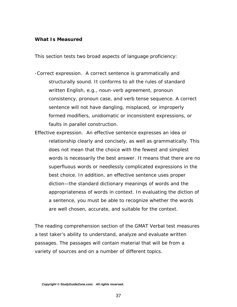#### *What Is Measured*

This section tests two broad aspects of language proficiency:

- -Correct expression. A correct sentence is grammatically and structurally sound. It conforms to all the rules of standard written English, e.g., noun-verb agreement, pronoun consistency, pronoun case, and verb tense sequence. A correct sentence will not have dangling, misplaced, or improperly formed modifiers, unidiomatic or inconsistent expressions, or faults in parallel construction.
- Effective expression. An effective sentence expresses an idea or relationship clearly and concisely, as well as grammatically. This does not mean that the choice with the fewest and simplest words is necessarily the best answer. It means that there are no superfluous words or needlessly complicated expressions in the best choice. In addition, an effective sentence uses proper diction—the standard dictionary meanings of words and the appropriateness of words in context. In evaluating the diction of a sentence, you must be able to recognize whether the words are well chosen, accurate, and suitable for the context.

The reading comprehension section of the GMAT Verbal test measures a test taker's ability to understand, analyze and evaluate written passages. The passages will contain material that will be from a variety of sources and on a number of different topics.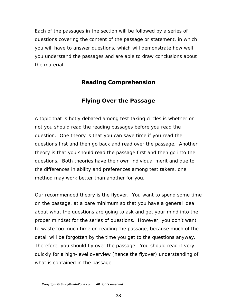Each of the passages in the section will be followed by a series of questions covering the content of the passage or statement, in which you will have to answer questions, which will demonstrate how well you understand the passages and are able to draw conclusions about the material.

## **Reading Comprehension**

### **Flying Over the Passage**

A topic that is hotly debated among test taking circles is whether or not you should read the reading passages before you read the question. One theory is that you can save time if you read the questions first and then go back and read over the passage. Another theory is that you should read the passage first and then go into the questions. Both theories have their own individual merit and due to the differences in ability and preferences among test takers, one method may work better than another for you.

Our recommended theory is the flyover. You want to spend some time on the passage, at a bare minimum so that you have a general idea about what the questions are going to ask and get your mind into the proper mindset for the series of questions. However, you don't want to waste too much time on reading the passage, because much of the detail will be forgotten by the time you get to the questions anyway. Therefore, you should fly over the passage. You should read it very quickly for a high-level overview (hence the flyover) understanding of what is contained in the passage.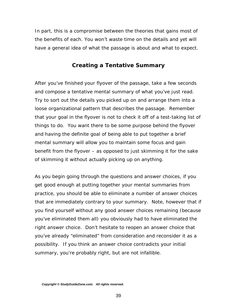In part, this is a compromise between the theories that gains most of the benefits of each. You won't waste time on the details and yet will have a general idea of what the passage is about and what to expect.

#### **Creating a Tentative Summary**

After you've finished your flyover of the passage, take a few seconds and compose a tentative mental summary of what you've just read. Try to sort out the details you picked up on and arrange them into a loose organizational pattern that describes the passage. Remember that your goal in the flyover is not to check it off of a test-taking list of things to do. You want there to be some purpose behind the flyover and having the definite goal of being able to put together a brief mental summary will allow you to maintain some focus and gain benefit from the flyover – as opposed to just skimming it for the sake of skimming it without actually picking up on anything.

As you begin going through the questions and answer choices, if you get good enough at putting together your mental summaries from practice, you should be able to eliminate a number of answer choices that are immediately contrary to your summary. Note, however that if you find yourself without any good answer choices remaining (because you've eliminated them all) you obviously had to have eliminated the right answer choice. Don't hesitate to reopen an answer choice that you've already "eliminated" from consideration and reconsider it as a possibility. If you think an answer choice contradicts your initial summary, you're probably right, but are not infallible.

*Copyright © StudyGuideZone.com. All rights reserved.*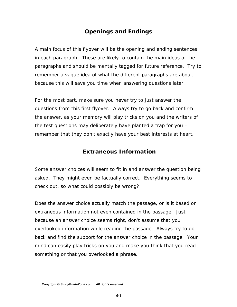## **Openings and Endings**

A main focus of this flyover will be the opening and ending sentences in each paragraph. These are likely to contain the main ideas of the paragraphs and should be mentally tagged for future reference. Try to remember a vague idea of what the different paragraphs are about, because this will save you time when answering questions later.

For the most part, make sure you never try to just answer the questions from this first flyover. Always try to go back and confirm the answer, as your memory will play tricks on you and the writers of the test questions may deliberately have planted a trap for you – remember that they don't exactly have your best interests at heart.

#### **Extraneous Information**

Some answer choices will seem to fit in and answer the question being asked. They might even be factually correct. Everything seems to check out, so what could possibly be wrong?

Does the answer choice actually match the passage, or is it based on extraneous information not even contained in the passage. Just because an answer choice seems right, don't assume that you overlooked information while reading the passage. Always try to go back and find the support for the answer choice in the passage. Your mind can easily play tricks on you and make you think that you read something or that you overlooked a phrase.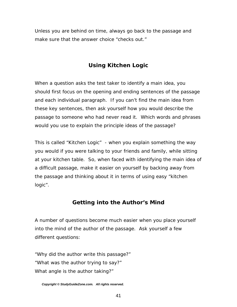Unless you are behind on time, always go back to the passage and make sure that the answer choice "checks out."

# **Using Kitchen Logic**

When a question asks the test taker to identify a main idea, you should first focus on the opening and ending sentences of the passage and each individual paragraph. If you can't find the main idea from these key sentences, then ask yourself how you would describe the passage to someone who had never read it. Which words and phrases would you use to explain the principle ideas of the passage?

This is called "Kitchen Logic" - when you explain something the way you would if you were talking to your friends and family, while sitting at your kitchen table. So, when faced with identifying the main idea of a difficult passage, make it easier on yourself by backing away from the passage and thinking about it in terms of using easy "kitchen logic".

### **Getting into the Author's Mind**

A number of questions become much easier when you place yourself into the mind of the author of the passage. Ask yourself a few different questions:

"Why did the author write this passage?" "What was the author trying to say?" What angle is the author taking?"

*Copyright © StudyGuideZone.com. All rights reserved.*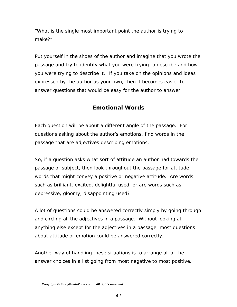"What is the single most important point the author is trying to make?"

Put yourself in the shoes of the author and imagine that you wrote the passage and try to identify what you were trying to describe and how you were trying to describe it. If you take on the opinions and ideas expressed by the author as your own, then it becomes easier to answer questions that would be easy for the author to answer.

## **Emotional Words**

Each question will be about a different angle of the passage. For questions asking about the author's emotions, find words in the passage that are adjectives describing emotions.

So, if a question asks what sort of attitude an author had towards the passage or subject, then look throughout the passage for attitude words that might convey a positive or negative attitude. Are words such as brilliant, excited, delightful used, or are words such as depressive, gloomy, disappointing used?

A lot of questions could be answered correctly simply by going through and circling all the adjectives in a passage. Without looking at anything else except for the adjectives in a passage, most questions about attitude or emotion could be answered correctly.

Another way of handling these situations is to arrange all of the answer choices in a list going from most negative to most positive.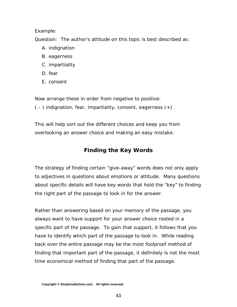#### Example:

Question: The author's attitude on this topic is best described as:

- A. indignation
- B. eagerness
- C. impartiality
- D. fear
- E. consent

Now arrange these in order from negative to positive:

( - ) indignation, fear, impartiality, consent, eagerness (+)

This will help sort out the different choices and keep you from overlooking an answer choice and making an easy mistake.

# **Finding the Key Words**

The strategy of finding certain "give-away" words does not only apply to adjectives in questions about emotions or attitude. Many questions about specific details will have key words that hold the "key" to finding the right part of the passage to look in for the answer.

Rather than answering based on your memory of the passage, you always want to have support for your answer choice rooted in a specific part of the passage. To gain that support, it follows that you have to identify which part of the passage to look in. While reading back over the entire passage may be the most foolproof method of finding that important part of the passage, it definitely is not the most time economical method of finding that part of the passage.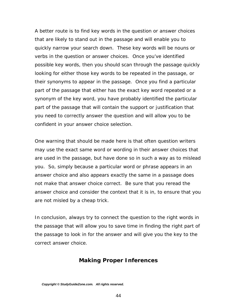A better route is to find key words in the question or answer choices that are likely to stand out in the passage and will enable you to quickly narrow your search down. These key words will be nouns or verbs in the question or answer choices. Once you've identified possible key words, then you should scan through the passage quickly looking for either those key words to be repeated in the passage, or their synonyms to appear in the passage. Once you find a particular part of the passage that either has the exact key word repeated or a synonym of the key word, you have probably identified the particular part of the passage that will contain the support or justification that you need to correctly answer the question and will allow you to be confident in your answer choice selection.

One warning that should be made here is that often question writers may use the exact same word or wording in their answer choices that are used in the passage, but have done so in such a way as to mislead you. So, simply because a particular word or phrase appears in an answer choice and also appears exactly the same in a passage does not make that answer choice correct. Be sure that you reread the answer choice and consider the context that it is in, to ensure that you are not misled by a cheap trick.

In conclusion, always try to connect the question to the right words in the passage that will allow you to save time in finding the right part of the passage to look in for the answer and will give you the key to the correct answer choice.

#### **Making Proper Inferences**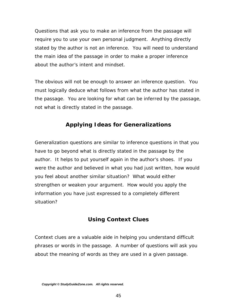Questions that ask you to make an inference from the passage will require you to use your own personal judgment. Anything directly stated by the author is not an inference. You will need to understand the main idea of the passage in order to make a proper inference about the author's intent and mindset.

The obvious will not be enough to answer an inference question. You must logically deduce what follows from what the author has stated in the passage. You are looking for what can be inferred by the passage, not what is directly stated in the passage.

## **Applying Ideas for Generalizations**

Generalization questions are similar to inference questions in that you have to go beyond what is directly stated in the passage by the author. It helps to put yourself again in the author's shoes. If you were the author and believed in what you had just written, how would you feel about another similar situation? What would either strengthen or weaken your argument. How would you apply the information you have just expressed to a completely different situation?

# **Using Context Clues**

Context clues are a valuable aide in helping you understand difficult phrases or words in the passage. A number of questions will ask you about the meaning of words as they are used in a given passage.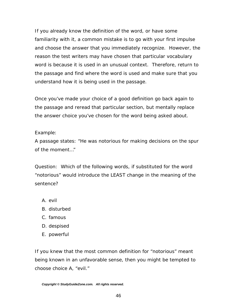If you already know the definition of the word, or have some familiarity with it, a common mistake is to go with your first impulse and choose the answer that you immediately recognize. However, the reason the test writers may have chosen that particular vocabulary word is because it is used in an unusual context. Therefore, return to the passage and find where the word is used and make sure that you understand how it is being used in the passage.

Once you've made your choice of a good definition go back again to the passage and reread that particular section, but mentally replace the answer choice you've chosen for the word being asked about.

Example:

A passage states: "He was notorious for making decisions on the spur of the moment…"

Question: Which of the following words, if substituted for the word "notorious" would introduce the LEAST change in the meaning of the sentence?

- A. evil
- B. disturbed
- C. famous
- D. despised
- E. powerful

If you knew that the most common definition for "notorious" meant being known in an unfavorable sense, then you might be tempted to choose choice A, "evil."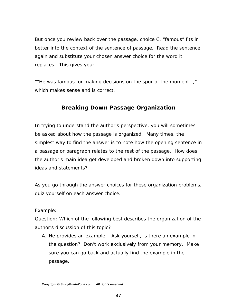But once you review back over the passage, choice C, "famous" fits in better into the context of the sentence of passage. Read the sentence again and substitute your chosen answer choice for the word it replaces. This gives you:

""He was famous for making decisions on the spur of the moment…," which makes sense and is correct.

### **Breaking Down Passage Organization**

In trying to understand the author's perspective, you will sometimes be asked about how the passage is organized. Many times, the simplest way to find the answer is to note how the opening sentence in a passage or paragraph relates to the rest of the passage. How does the author's main idea get developed and broken down into supporting ideas and statements?

As you go through the answer choices for these organization problems, quiz yourself on each answer choice.

Example:

Question: Which of the following best describes the organization of the author's discussion of this topic?

A. He provides an example – Ask yourself, is there an example in the question? Don't work exclusively from your memory. Make sure you can go back and actually find the example in the passage.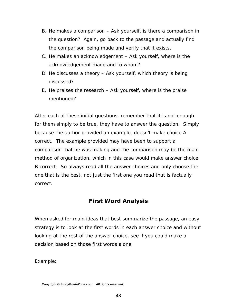- B. He makes a comparison Ask yourself, is there a comparison in the question? Again, go back to the passage and actually find the comparison being made and verify that it exists.
- C. He makes an acknowledgement Ask yourself, where is the acknowledgement made and to whom?
- D. He discusses a theory Ask yourself, which theory is being discussed?
- E. He praises the research Ask yourself, where is the praise mentioned?

After each of these initial questions, remember that it is not enough for them simply to be true, they have to answer the question. Simply because the author provided an example, doesn't make choice A correct. The example provided may have been to support a comparison that he was making and the comparison may be the main method of organization, which in this case would make answer choice B correct. So always read all the answer choices and only choose the one that is the best, not just the first one you read that is factually correct.

## **First Word Analysis**

When asked for main ideas that best summarize the passage, an easy strategy is to look at the first words in each answer choice and without looking at the rest of the answer choice, see if you could make a decision based on those first words alone.

Example: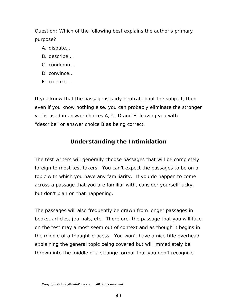Question: Which of the following best explains the author's primary purpose?

- A. dispute…
- B. describe…
- C. condemn…
- D. convince…
- E. criticize…

If you know that the passage is fairly neutral about the subject, then even if you know nothing else, you can probably eliminate the stronger verbs used in answer choices A, C, D and E, leaving you with "describe" or answer choice B as being correct.

## **Understanding the Intimidation**

The test writers will generally choose passages that will be completely foreign to most test takers. You can't expect the passages to be on a topic with which you have any familiarity. If you do happen to come across a passage that you are familiar with, consider yourself lucky, but don't plan on that happening.

The passages will also frequently be drawn from longer passages in books, articles, journals, etc. Therefore, the passage that you will face on the test may almost seem out of context and as though it begins in the middle of a thought process. You won't have a nice title overhead explaining the general topic being covered but will immediately be thrown into the middle of a strange format that you don't recognize.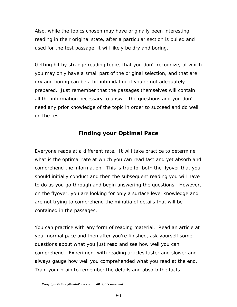Also, while the topics chosen may have originally been interesting reading in their original state, after a particular section is pulled and used for the test passage, it will likely be dry and boring.

Getting hit by strange reading topics that you don't recognize, of which you may only have a small part of the original selection, and that are dry and boring can be a bit intimidating if you're not adequately prepared. Just remember that the passages themselves will contain all the information necessary to answer the questions and you don't need any prior knowledge of the topic in order to succeed and do well on the test.

#### **Finding your Optimal Pace**

Everyone reads at a different rate. It will take practice to determine what is the optimal rate at which you can read fast and yet absorb and comprehend the information. This is true for both the flyover that you should initially conduct and then the subsequent reading you will have to do as you go through and begin answering the questions. However, on the flyover, you are looking for only a surface level knowledge and are not trying to comprehend the minutia of details that will be contained in the passages.

You can practice with any form of reading material. Read an article at your normal pace and then after you're finished, ask yourself some questions about what you just read and see how well you can comprehend. Experiment with reading articles faster and slower and always gauge how well you comprehended what you read at the end. Train your brain to remember the details and absorb the facts.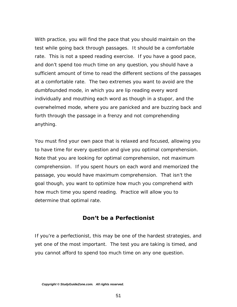With practice, you will find the pace that you should maintain on the test while going back through passages. It should be a comfortable rate. This is not a speed reading exercise. If you have a good pace, and don't spend too much time on any question, you should have a sufficient amount of time to read the different sections of the passages at a comfortable rate. The two extremes you want to avoid are the dumbfounded mode, in which you are lip reading every word individually and mouthing each word as though in a stupor, and the overwhelmed mode, where you are panicked and are buzzing back and forth through the passage in a frenzy and not comprehending anything.

You must find your own pace that is relaxed and focused, allowing you to have time for every question and give you optimal comprehension. Note that you are looking for optimal comprehension, not maximum comprehension. If you spent hours on each word and memorized the passage, you would have maximum comprehension. That isn't the goal though, you want to optimize how much you comprehend with how much time you spend reading. Practice will allow you to determine that optimal rate.

#### **Don't be a Perfectionist**

If you're a perfectionist, this may be one of the hardest strategies, and yet one of the most important. The test you are taking is timed, and you cannot afford to spend too much time on any one question.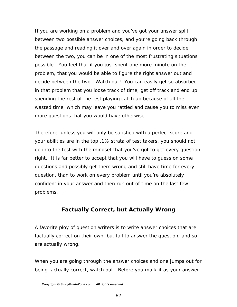If you are working on a problem and you've got your answer split between two possible answer choices, and you're going back through the passage and reading it over and over again in order to decide between the two, you can be in one of the most frustrating situations possible. You feel that if you just spent one more minute on the problem, that you would be able to figure the right answer out and decide between the two. Watch out! You can easily get so absorbed in that problem that you loose track of time, get off track and end up spending the rest of the test playing catch up because of all the wasted time, which may leave you rattled and cause you to miss even more questions that you would have otherwise.

Therefore, unless you will only be satisfied with a perfect score and your abilities are in the top .1% strata of test takers, you should not go into the test with the mindset that you've got to get every question right. It is far better to accept that you will have to guess on some questions and possibly get them wrong and still have time for every question, than to work on every problem until you're absolutely confident in your answer and then run out of time on the last few problems.

### **Factually Correct, but Actually Wrong**

A favorite ploy of question writers is to write answer choices that are factually correct on their own, but fail to answer the question, and so are actually wrong.

When you are going through the answer choices and one jumps out for being factually correct, watch out. Before you mark it as your answer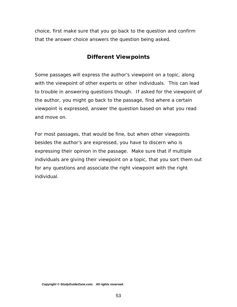choice, first make sure that you go back to the question and confirm that the answer choice answers the question being asked.

## **Different Viewpoints**

Some passages will express the author's viewpoint on a topic, along with the viewpoint of other experts or other individuals. This can lead to trouble in answering questions though. If asked for the viewpoint of the author, you might go back to the passage, find where a certain viewpoint is expressed, answer the question based on what you read and move on.

For most passages, that would be fine, but when other viewpoints besides the author's are expressed, you have to discern who is expressing their opinion in the passage. Make sure that if multiple individuals are giving their viewpoint on a topic, that you sort them out for any questions and associate the right viewpoint with the right individual.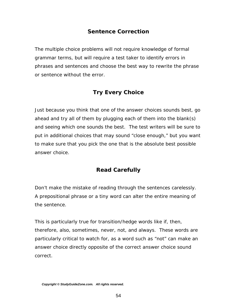## **Sentence Correction**

The multiple choice problems will not require knowledge of formal grammar terms, but will require a test taker to identify errors in phrases and sentences and choose the best way to rewrite the phrase or sentence without the error.

## **Try Every Choice**

Just because you think that one of the answer choices sounds best, go ahead and try all of them by plugging each of them into the blank(s) and seeing which one sounds the best. The test writers will be sure to put in additional choices that may sound "close enough," but you want to make sure that you pick the one that is the absolute best possible answer choice.

## **Read Carefully**

Don't make the mistake of reading through the sentences carelessly. A prepositional phrase or a tiny word can alter the entire meaning of the sentence.

This is particularly true for transition/hedge words like if, then, therefore, also, sometimes, never, not, and always. These words are particularly critical to watch for, as a word such as "not" can make an answer choice directly opposite of the correct answer choice sound correct.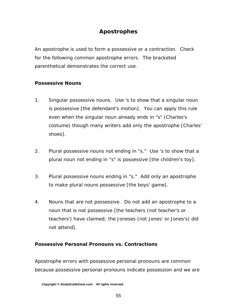## **Apostrophes**

An apostrophe is used to form a possessive or a contraction. Check for the following common apostrophe errors. The bracketed parenthetical demonstrates the correct use.

#### *Possessive Nouns*

- 1. Singular possessive nouns. Use 's to show that a singular noun is possessive [the defendant's motion]. You can apply this rule even when the singular noun already ends in "s" (Charles's costume) though many writers add only the apostrophe [Charles' shoes].
- 2. Plural possessive nouns not ending in "s." Use 's to show that a plural noun not ending in "s" is possessive [the children's toy].
- 3. Plural possessive nouns ending in "s." Add only an apostrophe to make plural nouns possessive [the boys' game].
- 4. Nouns that are not possessive. Do not add an apostrophe to a noun that is not possessive [the teachers (not teacher's or teachers') have claimed; the Joneses (not Jones' or Jones's) did not attend].

#### *Possessive Personal Pronouns vs. Contractions*

Apostrophe errors with possessive personal pronouns are common because possessive personal pronouns indicate possession and we are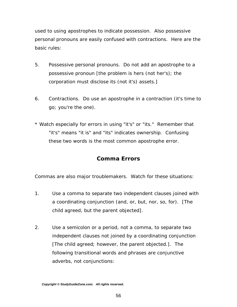used to using apostrophes to indicate possession. Also possessive personal pronouns are easily confused with contractions. Here are the basic rules:

- 5. Possessive personal pronouns. Do not add an apostrophe to a possessive pronoun [the problem is hers (not her's); the corporation must disclose its (not it's) assets.]
- 6. Contractions. Do use an apostrophe in a contraction (it's time to go; you're the one).
- \* Watch especially for errors in using "it's" or "its." Remember that "it's" means "it is" and "its" indicates ownership. Confusing these two words is the most common apostrophe error.

## **Comma Errors**

Commas are also major troublemakers. Watch for these situations:

- 1. Use a comma to separate two independent clauses joined with a coordinating conjunction (and, or, but, nor, so, for). [The child agreed, but the parent objected].
- 2. Use a semicolon or a period, not a comma, to separate two independent clauses not joined by a coordinating conjunction [The child agreed; however, the parent objected.]. The following transitional words and phrases are conjunctive adverbs, not conjunctions: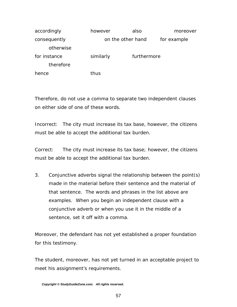| accordingly  | however           | also        | moreover    |
|--------------|-------------------|-------------|-------------|
| consequently | on the other hand |             | for example |
| otherwise    |                   |             |             |
| for instance | similarly         | furthermore |             |
| therefore    |                   |             |             |
| hence        | thus              |             |             |

Therefore, do not use a comma to separate two independent clauses on either side of one of these words.

Incorrect: The city must increase its tax base, however, the citizens must be able to accept the additional tax burden.

Correct: The city must increase its tax base; however, the citizens must be able to accept the additional tax burden.

3. Conjunctive adverbs signal the relationship between the point(s) made in the material before their sentence and the material of that sentence. The words and phrases in the list above are examples. When you begin an independent clause with a conjunctive adverb or when you use it in the middle of a sentence, set it off with a comma.

Moreover, the defendant has not yet established a proper foundation for this testimony.

The student, moreover, has not yet turned in an acceptable project to meet his assignment's requirements.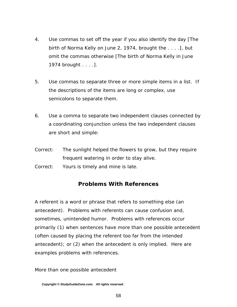- 4. Use commas to set off the year if you also identify the day [The birth of Norma Kelly on June 2, 1974, brought the . . . .], but omit the commas otherwise [The birth of Norma Kelly in June 1974 brought . . . .].
- 5. Use commas to separate three or more simple items in a list. If the descriptions of the items are long or complex, use semicolons to separate them.
- 6. Use a comma to separate two independent clauses connected by a coordinating conjunction unless the two independent clauses are short and simple:
- Correct: The sunlight helped the flowers to grow, but they require frequent watering in order to stay alive.
- Correct: Yours is timely and mine is late.

#### **Problems With References**

A referent is a word or phrase that refers to something else (an antecedent). Problems with referents can cause confusion and, sometimes, unintended humor. Problems with references occur primarily (1) when sentences have more than one possible antecedent (often caused by placing the referent too far from the intended antecedent); or (2) when the antecedent is only implied. Here are examples problems with references.

#### More than one possible antecedent

*Copyright © StudyGuideZone.com. All rights reserved.*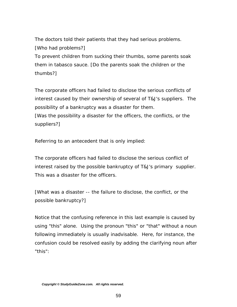The doctors told their patients that they had serious problems. [Who had problems?]

To prevent children from sucking their thumbs, some parents soak them in tabasco sauce. [Do the parents soak the children or the thumbs?]

The corporate officers had failed to disclose the serious conflicts of interest caused by their ownership of several of T&J's suppliers. The possibility of a bankruptcy was a disaster for them. [Was the possibility a disaster for the officers, the conflicts, or the

suppliers?]

Referring to an antecedent that is only implied:

The corporate officers had failed to disclose the serious conflict of interest raised by the possible bankruptcy of T&J's primary supplier. This was a disaster for the officers.

[What was a disaster -- the failure to disclose, the conflict, or the possible bankruptcy?]

Notice that the confusing reference in this last example is caused by using "this" alone. Using the pronoun "this" or "that" without a noun following immediately is usually inadvisable. Here, for instance, the confusion could be resolved easily by adding the clarifying noun after "this":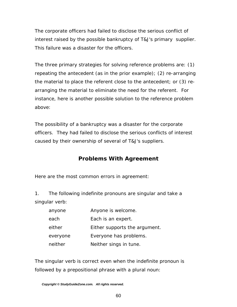The corporate officers had failed to disclose the serious conflict of interest raised by the possible bankruptcy of T&J's primary supplier. This failure was a disaster for the officers.

The three primary strategies for solving reference problems are: (1) repeating the antecedent (as in the prior example); (2) re-arranging the material to place the referent close to the antecedent; or (3) rearranging the material to eliminate the need for the referent. For instance, here is another possible solution to the reference problem above:

The possibility of a bankruptcy was a disaster for the corporate officers. They had failed to disclose the serious conflicts of interest caused by their ownership of several of T&J's suppliers.

## **Problems With Agreement**

Here are the most common errors in agreement:

1. The following indefinite pronouns are singular and take a singular verb:

| anyone   | Anyone is welcome.            |
|----------|-------------------------------|
| each     | Each is an expert.            |
| either   | Either supports the argument. |
| everyone | Everyone has problems.        |
| neither  | Neither sings in tune.        |

The singular verb is correct even when the indefinite pronoun is followed by a prepositional phrase with a plural noun: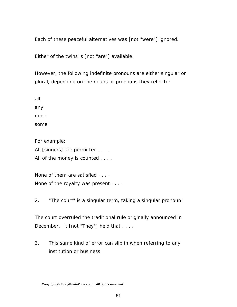Each of these peaceful alternatives was [not "were"] ignored.

Either of the twins is [not "are"] available.

However, the following indefinite pronouns are either singular or plural, depending on the nouns or pronouns they refer to:

all any none some

For example:

All [singers] are permitted . . . .

All of the money is counted . . . .

None of them are satisfied . . . . None of the royalty was present . . . .

2. "The court" is a singular term, taking a singular pronoun:

The court overruled the traditional rule originally announced in December. It [not "They"] held that . . . .

3. This same kind of error can slip in when referring to any institution or business: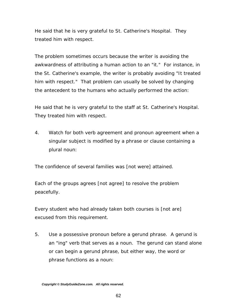He said that he is very grateful to St. Catherine's Hospital. They treated him with respect.

The problem sometimes occurs because the writer is avoiding the awkwardness of attributing a human action to an "it." For instance, in the St. Catherine's example, the writer is probably avoiding "It treated him with respect." That problem can usually be solved by changing the antecedent to the humans who actually performed the action:

He said that he is very grateful to the staff at St. Catherine's Hospital. They treated him with respect.

4. Watch for both verb agreement and pronoun agreement when a singular subject is modified by a phrase or clause containing a plural noun:

The confidence of several families was [not were] attained.

Each of the groups agrees [not agree] to resolve the problem peacefully.

Every student who had already taken both courses is [not are] excused from this requirement.

5. Use a possessive pronoun before a gerund phrase. A gerund is an "ing" verb that serves as a noun. The gerund can stand alone or can begin a gerund phrase, but either way, the word or phrase functions as a noun: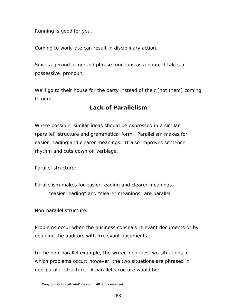Running is good for you.

Coming to work late can result in disciplinary action.

Since a gerund or gerund phrase functions as a noun, it takes a possessive pronoun:

We'll go to their house for the party instead of their [not them] coming to ours.

#### **Lack of Parallelism**

Where possible, similar ideas should be expressed in a similar (parallel) structure and grammatical form. Parallelism makes for easier reading and clearer meanings. It also improves sentence rhythm and cuts down on verbiage.

Parallel structure:

Parallelism makes for easier reading and clearer meanings.

"easier reading" and "clearer meanings" are parallel.

Non-parallel structure:

Problems occur when the business conceals relevant documents or by deluging the auditors with irrelevant documents.

In the non-parallel example, the writer identifies two situations in which problems occur; however, the two situations are phrased in non-parallel structure. A parallel structure would be: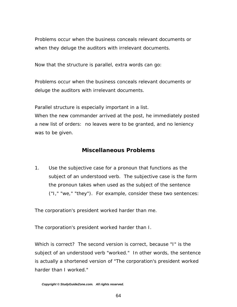Problems occur when the business conceals relevant documents or when they deluge the auditors with irrelevant documents.

Now that the structure is parallel, extra words can go:

Problems occur when the business conceals relevant documents or deluge the auditors with irrelevant documents.

Parallel structure is especially important in a list.

When the new commander arrived at the post, he immediately posted a new list of orders: no leaves were to be granted, and no leniency was to be given.

## **Miscellaneous Problems**

1. Use the subjective case for a pronoun that functions as the subject of an understood verb. The subjective case is the form the pronoun takes when used as the subject of the sentence ("I," "we," "they"). For example, consider these two sentences:

The corporation's president worked harder than me.

The corporation's president worked harder than I.

Which is correct? The second version is correct, because "I" is the subject of an understood verb "worked." In other words, the sentence is actually a shortened version of "The corporation's president worked harder than I worked."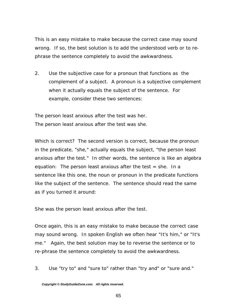This is an easy mistake to make because the correct case may sound wrong. If so, the best solution is to add the understood verb or to rephrase the sentence completely to avoid the awkwardness.

2. Use the subjective case for a pronoun that functions as the complement of a subject. A pronoun is a subjective complement when it actually equals the subject of the sentence. For example, consider these two sentences:

The person least anxious after the test was her. The person least anxious after the test was she.

Which is correct? The second version is correct, because the pronoun in the predicate, "she," actually equals the subject, "the person least anxious after the test." In other words, the sentence is like an algebra equation: The person least anxious after the test  $=$  she. In a sentence like this one, the noun or pronoun in the predicate functions like the subject of the sentence. The sentence should read the same as if you turned it around:

She was the person least anxious after the test.

Once again, this is an easy mistake to make because the correct case may sound wrong. In spoken English we often hear "It's him," or "It's me." Again, the best solution may be to reverse the sentence or to re-phrase the sentence completely to avoid the awkwardness.

3. Use "try to" and "sure to" rather than "try and" or "sure and."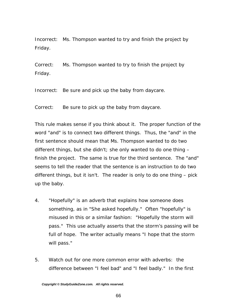Incorrect: Ms. Thompson wanted to try and finish the project by Friday.

Correct: Ms. Thompson wanted to try to finish the project by Friday.

Incorrect: Be sure and pick up the baby from daycare.

Correct: Be sure to pick up the baby from daycare.

This rule makes sense if you think about it. The proper function of the word "and" is to connect two different things. Thus, the "and" in the first sentence should mean that Ms. Thompson wanted to do two different things, but she didn't; she only wanted to do one thing  $$ finish the project. The same is true for the third sentence. The "and" seems to tell the reader that the sentence is an instruction to do two different things, but it isn't. The reader is only to do one thing – pick up the baby.

- 4. "Hopefully" is an adverb that explains how someone does something, as in "She asked hopefully." Often "hopefully" is misused in this or a similar fashion: "Hopefully the storm will pass." This use actually asserts that the storm's passing will be full of hope. The writer actually means "I hope that the storm will pass."
- 5. Watch out for one more common error with adverbs: the difference between "I feel bad" and "I feel badly." In the first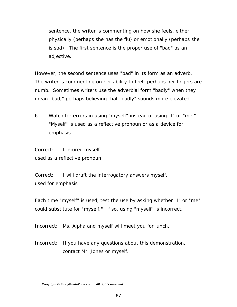sentence, the writer is commenting on how she feels, either physically (perhaps she has the flu) or emotionally (perhaps she is sad). The first sentence is the proper use of "bad" as an adjective.

However, the second sentence uses "bad" in its form as an adverb. The writer is commenting on her ability to feel; perhaps her fingers are numb. Sometimes writers use the adverbial form "badly" when they mean "bad," perhaps believing that "badly" sounds more elevated.

6. Watch for errors in using "myself" instead of using "I" or "me." "Myself" is used as a reflective pronoun or as a device for emphasis.

Correct: I injured myself. used as a reflective pronoun

Correct: I will draft the interrogatory answers myself. used for emphasis

Each time "myself" is used, test the use by asking whether "I" or "me" could substitute for "myself." If so, using "myself" is incorrect.

Incorrect: Ms. Alpha and myself will meet you for lunch.

Incorrect: If you have any questions about this demonstration, contact Mr. Jones or myself.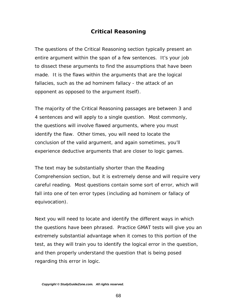## **Critical Reasoning**

The questions of the Critical Reasoning section typically present an entire argument within the span of a few sentences. It's your job to dissect these arguments to find the assumptions that have been made. It is the flaws within the arguments that are the logical fallacies, such as the *ad hominem fallacy* - the attack of an opponent as opposed to the argument itself).

The majority of the Critical Reasoning passages are between 3 and 4 sentences and will apply to a single question. Most commonly, the questions will involve flawed arguments, where you must identify the flaw. Other times, you will need to locate the conclusion of the valid argument, and again sometimes, you'll experience deductive arguments that are closer to logic games.

The text may be substantially shorter than the Reading Comprehension section, but it is extremely dense and will require very careful reading. Most questions contain some sort of error, which will fall into one of ten error types (including *ad hominem* or *fallacy of equivocation*).

Next you will need to locate and identify the different ways in which the questions have been phrased. Practice GMAT tests will give you an extremely substantial advantage when it comes to this portion of the test, as they will train you to identify the logical error in the question, and then properly understand the question that is being posed regarding this error in logic.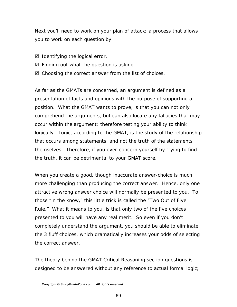Next you'll need to work on your plan of attack; a process that allows you to work on each question by:

- $\boxtimes$  Identifying the logical error.
- $\boxtimes$  Finding out what the question is asking.
- $\boxtimes$  Choosing the correct answer from the list of choices.

As far as the GMATs are concerned, an argument is defined as a presentation of facts and opinions with the purpose of supporting a position. What the GMAT wants to prove, is that you can not only comprehend the arguments, but can also locate any fallacies that may occur within the argument; therefore testing your ability to think logically. Logic, according to the GMAT, is the study of the relationship that occurs among statements, and not the truth of the statements themselves. Therefore, if you over-concern yourself by trying to find the truth, it can be detrimental to your GMAT score.

When you create a good, though inaccurate answer-choice is much more challenging than producing the correct answer. Hence, only one attractive wrong answer choice will normally be presented to you. To those "in the know," this little trick is called the "Two Out of Five Rule." What it means to you, is that only two of the five choices presented to you will have any real merit. So even if you don't completely understand the argument, you should be able to eliminate the 3 fluff choices, which dramatically increases your odds of selecting the correct answer.

The theory behind the GMAT Critical Reasoning section questions is designed to be answered without any reference to actual formal logic;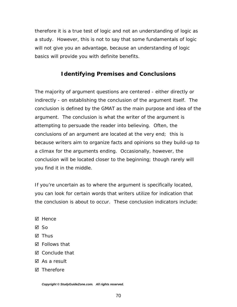therefore it is a true test of logic and not an understanding of logic as a study. However, this is not to say that some fundamentals of logic will not give you an advantage, because an understanding of logic basics will provide you with definite benefits.

## **Identifying Premises and Conclusions**

The majority of argument questions are centered - either directly or indirectly - on establishing the conclusion of the argument itself. The conclusion is defined by the GMAT as the main purpose and idea of the argument. The conclusion is what the writer of the argument is attempting to persuade the reader into believing. Often, the conclusions of an argument are located at the very end; this is because writers aim to organize facts and opinions so they build-up to a climax for the arguments ending. Occasionally, however, the conclusion will be located closer to the beginning; though rarely will you find it in the middle.

If you're uncertain as to where the argument is specifically located, you can look for certain words that writers utilize for indication that the conclusion is about to occur. These conclusion indicators include:

- ⊠ Hence
- $\boxtimes$  So
- $\boxtimes$  Thus
- Follows that
- $\boxtimes$  Conclude that
- $\triangledown$  As a result
- **Ø** Therefore

*Copyright © StudyGuideZone.com. All rights reserved.*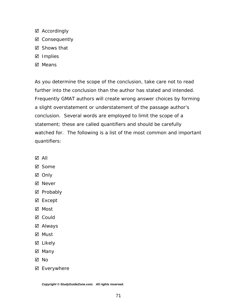- $\boxtimes$  Accordingly
- **⊠** Consequently
- Shows that
- ⊠ Implies
- ⊠ Means

As you determine the scope of the conclusion, take care not to read further into the conclusion than the author has stated and intended. Frequently GMAT authors will create wrong answer choices by forming a slight overstatement or understatement of the passage author's conclusion. Several words are employed to limit the scope of a statement; these are called quantifiers and should be carefully watched for. The following is a list of the most common and important quantifiers:

- ; All
- ⊠ Some
- ⊠ Only
- **Ø** Never
- **Ø** Probably
- ⊠ Except
- ⊠ Most
- **Ø** Could
- ⊠ Always
- ⊠ Must
- ⊠ Likely
- ⊠ Many
- ; No
- Everywhere

*Copyright © StudyGuideZone.com. All rights reserved.*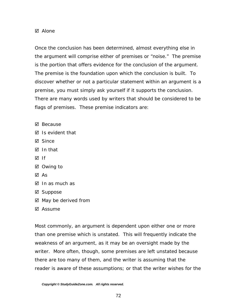#### $\boxtimes$  Alone

Once the conclusion has been determined, almost everything else in the argument will comprise either of premises or "noise." The premise is the portion that offers evidence for the conclusion of the argument. The premise is the foundation upon which the conclusion is built. To discover whether or not a particular statement within an argument is a premise, you must simply ask yourself if it supports the conclusion. There are many words used by writers that should be considered to be flags of premises. These premise indicators are:

- $\boxtimes$  Because
- $\boxtimes$  Is evident that
- ⊠ Since
- $\overline{M}$  In that
- ⊠ ।f
- **Ø** Owing to
- $\boxtimes$  As
- $\boxtimes$  In as much as
- $\boxtimes$  Suppose
- $\boxtimes$  May be derived from
- $\boxtimes$  Assume

Most commonly, an argument is dependent upon either one or more than one premise which is unstated. This will frequently indicate the weakness of an argument, as it may be an oversight made by the writer. More often, though, some premises are left unstated because there are too many of them, and the writer is assuming that the reader is aware of these assumptions; or that the writer wishes for the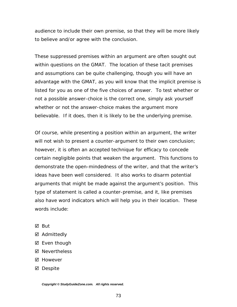audience to include their own premise, so that they will be more likely to believe and/or agree with the conclusion.

These suppressed premises within an argument are often sought out within questions on the GMAT. The location of these tacit premises and assumptions can be quite challenging, though you will have an advantage with the GMAT, as you will know that the implicit premise is listed for you as one of the five choices of answer. To test whether or not a possible answer-choice is the correct one, simply ask yourself whether or not the answer-choice makes the argument more believable. If it does, then it is likely to be the underlying premise.

Of course, while presenting a position within an argument, the writer will not wish to present a counter-argument to their own conclusion; however, it is often an accepted technique for efficacy to concede certain negligible points that weaken the argument. This functions to demonstrate the open-mindedness of the writer, and that the writer's ideas have been well considered. It also works to disarm potential arguments that might be made against the argument's position. This type of statement is called a counter-premise, and it, like premises also have word indicators which will help you in their location. These words include:

- $\boxtimes$  But
- ⊠ Admittedly
- $\boxtimes$  Even though
- **Ø** Nevertheless
- ⊠ However
- ⊠ Despite

*Copyright © StudyGuideZone.com. All rights reserved.*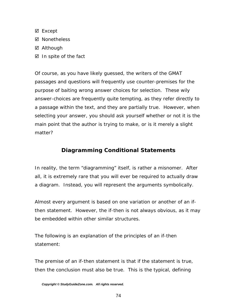- ⊠ Except
- **Ø** Nonetheless
- **Ø** Although
- $\boxtimes$  In spite of the fact

Of course, as you have likely guessed, the writers of the GMAT passages and questions will frequently use counter-premises for the purpose of baiting wrong answer choices for selection. These wily answer-choices are frequently quite tempting, as they refer directly to a passage within the text, and they are partially true. However, when selecting your answer, you should ask yourself whether or not it is the main point that the author is trying to make, or is it merely a slight matter?

### **Diagramming Conditional Statements**

In reality, the term "diagramming" itself, is rather a misnomer. After all, it is extremely rare that you will ever be required to actually draw a diagram. Instead, you will represent the arguments symbolically.

Almost every argument is based on one variation or another of an *ifthen* statement. However, the *if-then* is not always obvious, as it may be embedded within other similar structures.

The following is an explanation of the principles of an *if-then* statement:

The premise of an *if-then* statement is that if the statement is true, then the conclusion must also be true. This is the typical, defining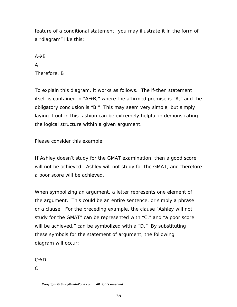feature of a conditional statement; you may illustrate it in the form of a "diagram" like this:

#### $A \rightarrow B$

#### A

Therefore, B

To explain this diagram, it works as follows. The *if-then* statement itself is contained in " $A\rightarrow B$ ," where the affirmed premise is "A," and the obligatory conclusion is "B." This may seem very simple, but simply laying it out in this fashion can be extremely helpful in demonstrating the logical structure within a given argument.

Please consider this example:

*If Ashley doesn't study for the GMAT examination, then a good score will not be achieved. Ashley will not study for the GMAT, and therefore a poor score will be achieved.* 

When symbolizing an argument, a letter represents one element of the argument. This could be an entire sentence, or simply a phrase or a clause. For the preceding example, the clause "Ashley will not study for the GMAT" can be represented with "C," and "a poor score will be achieved," can be symbolized with a "D." By substituting these symbols for the statement of argument, the following diagram will occur:

 $C \rightarrow D$ 

 $\mathcal{C}$ 

*Copyright © StudyGuideZone.com. All rights reserved.*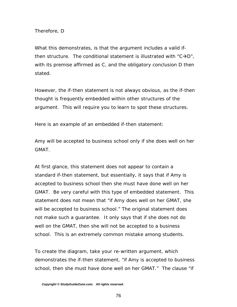Therefore, D

What this demonstrates, is that the argument includes a valid *ifthen* structure. The conditional statement is illustrated with " $C\rightarrow D$ ", with its premise affirmed as C, and the obligatory conclusion D then stated.

However, the *if-then* statement is not always obvious, as the *if-then* thought is frequently embedded within other structures of the argument. This will require you to learn to spot these structures.

Here is an example of an embedded *if-then* statement:

*Amy will be accepted to business school only if she does well on her GMAT*.

At first glance, this statement does not appear to contain a standard *if-then* statement, but essentially, it says that if Amy is accepted to business school then she must have done well on her GMAT. Be very careful with this type of embedded statement. This statement does *not* mean that "if Amy does well on her GMAT, she will be accepted to business school." The original statement does not make such a guarantee. It only says that if she does not do well on the GMAT, then she will not be accepted to a business school. This is an extremely common mistake among students.

To create the diagram, take your re-written argument, which demonstrates the *if-then* statement, "if Amy is accepted to business school, then she must have done well on her GMAT." The clause "if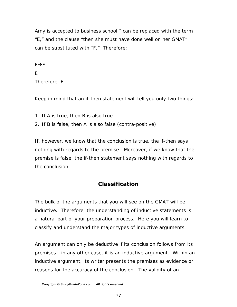Amy is accepted to business school," can be replaced with the term "E," and the clause "then she must have done well on her GMAT" can be substituted with "F." Therefore:

 $E \rightarrow F$ 

#### E

Therefore, F

Keep in mind that an *if-then* statement will tell you only two things:

1. If A is true, then B is also true

2. If B is false, then A is also false (contra-positive)

If, however, we know that the conclusion is true, the *if-then* says nothing with regards to the premise. Moreover, if we know that the premise is false, the *if-then* statement says nothing with regards to the conclusion.

## **Classification**

The bulk of the arguments that you will see on the GMAT will be inductive. Therefore, the understanding of inductive statements is a natural part of your preparation process. Here you will learn to classify and understand the major types of inductive arguments.

An argument can only be deductive if its conclusion follows from its premises - in any other case, it is an inductive argument. Within an inductive argument, its writer presents the premises as evidence or reasons for the accuracy of the conclusion. The validity of an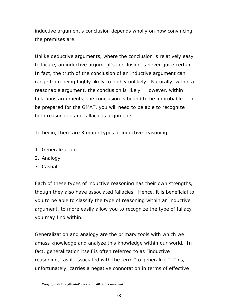inductive argument's conclusion depends wholly on how convincing the premises are.

Unlike deductive arguments, where the conclusion is relatively easy to locate, an inductive argument's conclusion is never quite certain. In fact, the truth of the conclusion of an inductive argument can range from being highly likely to highly unlikely. Naturally, within a reasonable argument, the conclusion is likely. However, within fallacious arguments, the conclusion is bound to be improbable. To be prepared for the GMAT, you will need to be able to recognize both reasonable and fallacious arguments.

To begin, there are 3 major types of inductive reasoning:

- 1. Generalization
- 2. Analogy
- 3. Casual

Each of these types of inductive reasoning has their own strengths, though they also have associated fallacies. Hence, it is beneficial to you to be able to classify the type of reasoning within an inductive argument, to more easily allow you to recognize the type of fallacy you may find within.

Generalization and analogy are the primary tools with which we amass knowledge and analyze this knowledge within our world. In fact, generalization itself is often referred to as "inductive reasoning," as it associated with the term "to generalize." This, unfortunately, carries a negative connotation in terms of effective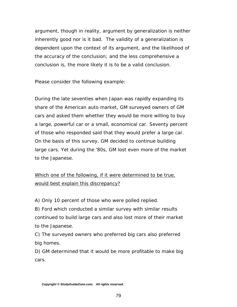argument, though in reality, argument by generalization is neither inherently good nor is it bad. The validity of a generalization is dependent upon the context of its argument, and the likelihood of the accuracy of the conclusion; and the less comprehensive a conclusion is, the more likely it is to be a valid conclusion.

Please consider the following example:

*During the late seventies when Japan was rapidly expanding its share of the American auto market, GM surveyed owners of GM cars and asked them whether they would be more willing to buy a large, powerful car or a small, economical car. Seventy percent of those who responded said that they would prefer a large car. On the basis of this survey, GM decided to continue building large cars. Yet during the '80s, GM lost even more of the market to the Japanese.* 

# Which one of the following, if it were determined to be true, would best explain this discrepancy?

A) Only 10 percent of those who were polled replied.

B) Ford which conducted a similar survey with similar results continued to build large cars and also lost more of their market to the Japanese.

C) The surveyed owners who preferred big cars also preferred big homes.

D) GM determined that it would be more profitable to make big cars.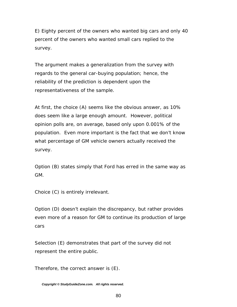E) Eighty percent of the owners who wanted big cars and only 40 percent of the owners who wanted small cars replied to the survey.

The argument makes a generalization from the survey with regards to the general car-buying population; hence, the reliability of the prediction is dependent upon the representativeness of the sample.

At first, the choice (A) seems like the obvious answer, as 10% does seem like a large enough amount. However, political opinion polls are, on average, based only upon 0.001% of the population. Even more important is the fact that we don't know what percentage of GM vehicle owners actually received the survey.

Option (B) states simply that Ford has erred in the same way as GM.

Choice (C) is entirely irrelevant.

Option (D) doesn't explain the discrepancy, but rather provides even more of a reason for GM to continue its production of large cars

Selection (E) demonstrates that part of the survey did not represent the entire public.

Therefore, the correct answer is (E).

*Copyright © StudyGuideZone.com. All rights reserved.*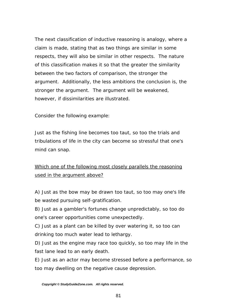The next classification of inductive reasoning is analogy, where a claim is made, stating that as two things are similar in some respects, they will also be similar in other respects. The nature of this classification makes it so that the greater the similarity between the two factors of comparison, the stronger the argument. Additionally, the less ambitions the conclusion is, the stronger the argument. The argument will be weakened, however, if dissimilarities are illustrated.

Consider the following example:

*Just as the fishing line becomes too taut, so too the trials and tribulations of life in the city can become so stressful that one's mind can snap.*

# Which one of the following most closely parallels the reasoning used in the argument above?

A) Just as the bow may be drawn too taut, so too may one's life be wasted pursuing self-gratification.

B) Just as a gambler's fortunes change unpredictably, so too do one's career opportunities come unexpectedly.

C) Just as a plant can be killed by over watering it, so too can drinking too much water lead to lethargy.

D) Just as the engine may race too quickly, so too may life in the fast lane lead to an early death.

E) Just as an actor may become stressed before a performance, so too may dwelling on the negative cause depression.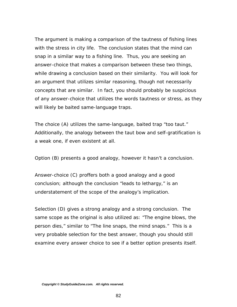The argument is making a comparison of the tautness of fishing lines with the stress in city life. The conclusion states that the mind can snap in a similar way to a fishing line. Thus, you are seeking an answer-choice that makes a comparison between these two things, while drawing a conclusion based on their similarity. You will look for an argument that utilizes similar reasoning, though not necessarily concepts that are similar. In fact, you should probably be suspicious of any answer-choice that utilizes the words tautness or stress, as they will likely be baited same-language traps.

The choice (A) utilizes the same-language, baited trap "too taut." Additionally, the analogy between the taut bow and self-gratification is a weak one, if even existent at all.

Option (B) presents a good analogy, however it hasn't a conclusion.

Answer-choice (C) proffers both a good analogy and a good conclusion; although the conclusion "leads to lethargy," is an understatement of the scope of the analogy's implication.

Selection (D) gives a strong analogy and a strong conclusion. The same scope as the original is also utilized as: "The engine blows, the person dies," similar to "The line snaps, the mind snaps." This is a very probable selection for the best answer, though you should still examine every answer choice to see if a better option presents itself.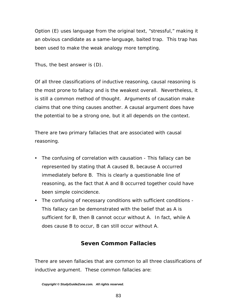Option (E) uses language from the original text, "stressful," making it an obvious candidate as a same-language, baited trap. This trap has been used to make the weak analogy more tempting.

Thus, the best answer is (D).

Of all three classifications of inductive reasoning, causal reasoning is the most prone to fallacy and is the weakest overall. Nevertheless, it is still a common method of thought. Arguments of causation make claims that one thing causes another. A causal argument does have the potential to be a strong one, but it all depends on the context.

There are two primary fallacies that are associated with causal reasoning.

- The confusing of correlation with causation This fallacy can be represented by stating that A caused B, because A occurred immediately before B. This is clearly a questionable line of reasoning, as the fact that A and B occurred together could have been simple coincidence.
- The confusing of necessary conditions with sufficient conditions -This fallacy can be demonstrated with the belief that as A is sufficient for B, then B cannot occur without A. In fact, while A does cause B to occur, B can still occur without A.

### **Seven Common Fallacies**

There are seven fallacies that are common to all three classifications of inductive argument. These common fallacies are:

*Copyright © StudyGuideZone.com. All rights reserved.*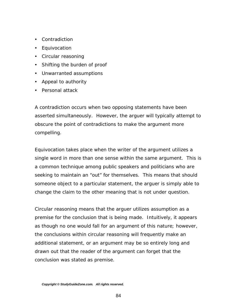- Contradiction
- Equivocation
- Circular reasoning
- Shifting the burden of proof
- Unwarranted assumptions
- Appeal to authority
- Personal attack

A contradiction occurs when two opposing statements have been asserted simultaneously. However, the arguer will typically attempt to obscure the point of contradictions to make the argument more compelling.

Equivocation takes place when the writer of the argument utilizes a single word in more than one sense within the same argument. This is a common technique among public speakers and politicians who are seeking to maintain an "out" for themselves. This means that should someone object to a particular statement, the arguer is simply able to change the claim to the other meaning that is not under question.

Circular reasoning means that the arguer utilizes assumption as a premise for the conclusion that is being made. Intuitively, it appears as though no one would fall for an argument of this nature; however, the conclusions within circular reasoning will frequently make an additional statement, or an argument may be so entirely long and drawn out that the reader of the argument can forget that the conclusion was stated as premise.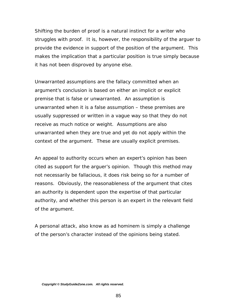Shifting the burden of proof is a natural instinct for a writer who struggles with proof. It is, however, the responsibility of the arguer to provide the evidence in support of the position of the argument. This makes the implication that a particular position is true simply because it has not been disproved by anyone else.

Unwarranted assumptions are the fallacy committed when an argument's conclusion is based on either an implicit or explicit premise that is false or unwarranted. An assumption is unwarranted when it is a false assumption – these premises are usually suppressed or written in a vague way so that they do not receive as much notice or weight. Assumptions are also unwarranted when they are true and yet do not apply within the context of the argument. These are usually explicit premises.

An appeal to authority occurs when an expert's opinion has been cited as support for the arguer's opinion. Though this method may not necessarily be fallacious, it does risk being so for a number of reasons. Obviously, the reasonableness of the argument that cites an authority is dependent upon the expertise of that particular authority, and whether this person is an expert in the relevant field of the argument.

A personal attack, also know as *ad hominem* is simply a challenge of the person's character instead of the opinions being stated.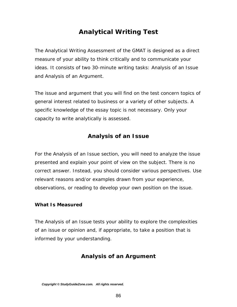# *Analytical Writing Test*

The Analytical Writing Assessment of the GMAT is designed as a direct measure of your ability to think critically and to communicate your ideas. It consists of two 30-minute writing tasks: Analysis of an Issue and Analysis of an Argument.

The issue and argument that you will find on the test concern topics of general interest related to business or a variety of other subjects. A specific knowledge of the essay topic is not necessary. Only your capacity to write analytically is assessed.

### **Analysis of an Issue**

For the Analysis of an Issue section, you will need to analyze the issue presented and explain your point of view on the subject. There is no correct answer. Instead, you should consider various perspectives. Use relevant reasons and/or examples drawn from your experience, observations, or reading to develop your own position on the issue.

#### *What Is Measured*

The Analysis of an Issue tests your ability to explore the complexities of an issue or opinion and, if appropriate, to take a position that is informed by your understanding.

### **Analysis of an Argument**

*Copyright © StudyGuideZone.com. All rights reserved.*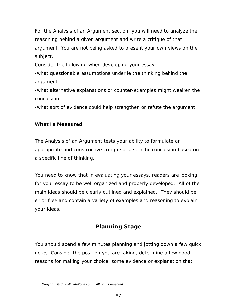For the Analysis of an Argument section, you will need to analyze the reasoning behind a given argument and write a critique of that argument. You are not being asked to present your own views on the subject.

Consider the following when developing your essay:

-what questionable assumptions underlie the thinking behind the argument

-what alternative explanations or counter-examples might weaken the conclusion

-what sort of evidence could help strengthen or refute the argument

#### *What Is Measured*

The Analysis of an Argument tests your ability to formulate an appropriate and constructive critique of a specific conclusion based on a specific line of thinking.

You need to know that in evaluating your essays, readers are looking for your essay to be well organized and properly developed. All of the main ideas should be clearly outlined and explained. They should be error free and contain a variety of examples and reasoning to explain your ideas.

### **Planning Stage**

You should spend a few minutes planning and jotting down a few quick notes. Consider the position you are taking, determine a few good reasons for making your choice, some evidence or explanation that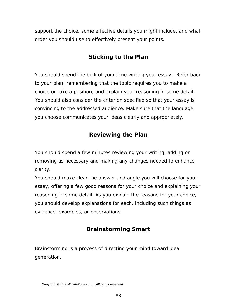support the choice, some effective details you might include, and what order you should use to effectively present your points.

### **Sticking to the Plan**

You should spend the bulk of your time writing your essay. Refer back to your plan, remembering that the topic requires you to make a choice or take a position, and explain your reasoning in some detail. You should also consider the criterion specified so that your essay is convincing to the addressed audience. Make sure that the language you choose communicates your ideas clearly and appropriately.

### **Reviewing the Plan**

You should spend a few minutes reviewing your writing, adding or removing as necessary and making any changes needed to enhance clarity.

You should make clear the answer and angle you will choose for your essay, offering a few good reasons for your choice and explaining your reasoning in some detail. As you explain the reasons for your choice, you should develop explanations for each, including such things as evidence, examples, or observations.

### **Brainstorming Smart**

Brainstorming is a process of directing your mind toward idea generation.

*Copyright © StudyGuideZone.com. All rights reserved.*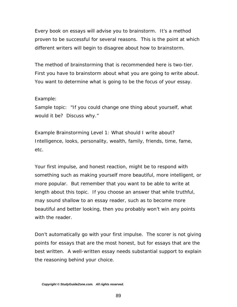Every book on essays will advise you to brainstorm. It's a method proven to be successful for several reasons. This is the point at which different writers will begin to disagree about how to brainstorm.

The method of brainstorming that is recommended here is two-tier. First you have to brainstorm about what you are going to write about. You want to determine what is going to be the focus of your essay.

#### Example:

Sample topic: "If you could change one thing about yourself, what would it be? Discuss why."

Example Brainstorming Level 1: What should I write about? Intelligence, looks, personality, wealth, family, friends, time, fame, etc.

Your first impulse, and honest reaction, might be to respond with something such as making yourself more beautiful, more intelligent, or more popular. But remember that you want to be able to write at length about this topic. If you choose an answer that while truthful, may sound shallow to an essay reader, such as to become more beautiful and better looking, then you probably won't win any points with the reader.

Don't automatically go with your first impulse. The scorer is not giving points for essays that are the most honest, but for essays that are the best written. A well-written essay needs substantial support to explain the reasoning behind your choice.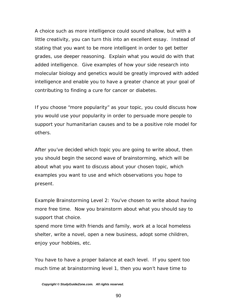A choice such as more intelligence could sound shallow, but with a little creativity, you can turn this into an excellent essay. Instead of stating that you want to be more intelligent in order to get better grades, use deeper reasoning. Explain what you would do with that added intelligence. Give examples of how your side research into molecular biology and genetics would be greatly improved with added intelligence and enable you to have a greater chance at your goal of contributing to finding a cure for cancer or diabetes.

If you choose "more popularity" as your topic, you could discuss how you would use your popularity in order to persuade more people to support your humanitarian causes and to be a positive role model for others.

After you've decided which topic you are going to write about, then you should begin the second wave of brainstorming, which will be about what you want to discuss about your chosen topic, which examples you want to use and which observations you hope to present.

Example Brainstorming Level 2: You've chosen to write about having more free time. Now you brainstorm about what you should say to support that choice.

spend more time with friends and family, work at a local homeless shelter, write a novel, open a new business, adopt some children, enjoy your hobbies, etc.

You have to have a proper balance at each level. If you spent too much time at brainstorming level 1, then you won't have time to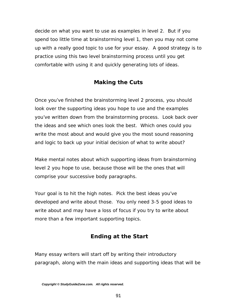decide on what you want to use as examples in level 2. But if you spend too little time at brainstorming level 1, then you may not come up with a really good topic to use for your essay. A good strategy is to practice using this two level brainstorming process until you get comfortable with using it and quickly generating lots of ideas.

## **Making the Cuts**

Once you've finished the brainstorming level 2 process, you should look over the supporting ideas you hope to use and the examples you've written down from the brainstorming process. Look back over the ideas and see which ones look the best. Which ones could you write the most about and would give you the most sound reasoning and logic to back up your initial decision of what to write about?

Make mental notes about which supporting ideas from brainstorming level 2 you hope to use, because those will be the ones that will comprise your successive body paragraphs.

Your goal is to hit the high notes. Pick the best ideas you've developed and write about those. You only need 3-5 good ideas to write about and may have a loss of focus if you try to write about more than a few important supporting topics.

### **Ending at the Start**

Many essay writers will start off by writing their introductory paragraph, along with the main ideas and supporting ideas that will be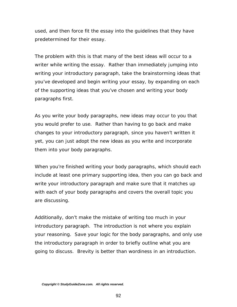used, and then force fit the essay into the guidelines that they have predetermined for their essay.

The problem with this is that many of the best ideas will occur to a writer while writing the essay. Rather than immediately jumping into writing your introductory paragraph, take the brainstorming ideas that you've developed and begin writing your essay, by expanding on each of the supporting ideas that you've chosen and writing your body paragraphs first.

As you write your body paragraphs, new ideas may occur to you that you would prefer to use. Rather than having to go back and make changes to your introductory paragraph, since you haven't written it yet, you can just adopt the new ideas as you write and incorporate them into your body paragraphs.

When you're finished writing your body paragraphs, which should each include at least one primary supporting idea, then you can go back and write your introductory paragraph and make sure that it matches up with each of your body paragraphs and covers the overall topic you are discussing.

Additionally, don't make the mistake of writing too much in your introductory paragraph. The introduction is not where you explain your reasoning. Save your logic for the body paragraphs, and only use the introductory paragraph in order to briefly outline what you are going to discuss. Brevity is better than wordiness in an introduction.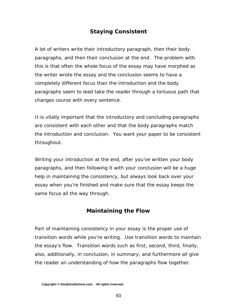### **Staying Consistent**

A lot of writers write their introductory paragraph, then their body paragraphs, and then their conclusion at the end. The problem with this is that often the whole focus of the essay may have morphed as the writer wrote the essay and the conclusion seems to have a completely different focus than the introduction and the body paragraphs seem to lead take the reader through a tortuous path that changes course with every sentence.

It is vitally important that the introductory and concluding paragraphs are consistent with each other and that the body paragraphs match the introduction and conclusion. You want your paper to be consistent throughout.

Writing your introduction at the end, after you've written your body paragraphs, and then following it with your conclusion will be a huge help in maintaining the consistency, but always look back over your essay when you're finished and make sure that the essay keeps the same focus all the way through.

### **Maintaining the Flow**

Part of maintaining consistency in your essay is the proper use of transition words while you're writing. Use transition words to maintain the essay's flow. Transition words such as first, second, third, finally, also, additionally, in conclusion, in summary, and furthermore all give the reader an understanding of how the paragraphs flow together.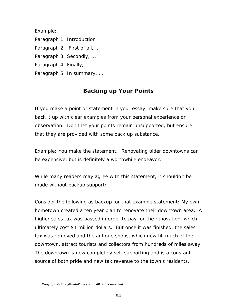Example:

Paragraph 1: Introduction

Paragraph 2: First of all, …

Paragraph 3: Secondly, …

Paragraph 4: Finally, …

Paragraph 5: In summary, …

## **Backing up Your Points**

If you make a point or statement in your essay, make sure that you back it up with clear examples from your personal experience or observation. Don't let your points remain unsupported, but ensure that they are provided with some back up substance.

Example: You make the statement, "Renovating older downtowns can be expensive, but is definitely a worthwhile endeavor."

While many readers may agree with this statement, it shouldn't be made without backup support:

Consider the following as backup for that example statement: My own hometown created a ten year plan to renovate their downtown area. A higher sales tax was passed in order to pay for the renovation, which ultimately cost \$1 million dollars. But once it was finished, the sales tax was removed and the antique shops, which now fill much of the downtown, attract tourists and collectors from hundreds of miles away. The downtown is now completely self-supporting and is a constant source of both pride and new tax revenue to the town's residents.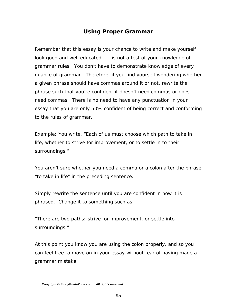### **Using Proper Grammar**

Remember that this essay is your chance to write and make yourself look good and well educated. It is not a test of your knowledge of grammar rules. You don't have to demonstrate knowledge of every nuance of grammar. Therefore, if you find yourself wondering whether a given phrase should have commas around it or not, rewrite the phrase such that you're confident it doesn't need commas or does need commas. There is no need to have any punctuation in your essay that you are only 50% confident of being correct and conforming to the rules of grammar.

Example: You write, "Each of us must choose which path to take in life, whether to strive for improvement, or to settle in to their surroundings."

You aren't sure whether you need a comma or a colon after the phrase "to take in life" in the preceding sentence.

Simply rewrite the sentence until you are confident in how it is phrased. Change it to something such as:

"There are two paths: strive for improvement, or settle into surroundings."

At this point you know you are using the colon properly, and so you can feel free to move on in your essay without fear of having made a grammar mistake.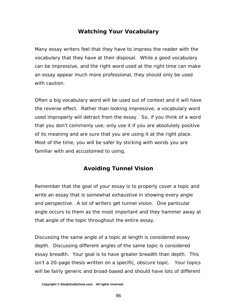### **Watching Your Vocabulary**

Many essay writers feel that they have to impress the reader with the vocabulary that they have at their disposal. While a good vocabulary can be impressive, and the right word used at the right time can make an essay appear much more professional, they should only be used with caution.

Often a big vocabulary word will be used out of context and it will have the reverse effect. Rather than looking impressive, a vocabulary word used improperly will detract from the essay. So, if you think of a word that you don't commonly use, only use it if you are absolutely positive of its meaning and are sure that you are using it at the right place. Most of the time, you will be safer by sticking with words you are familiar with and accustomed to using.

### **Avoiding Tunnel Vision**

Remember that the goal of your essay is to properly cover a topic and write an essay that is somewhat exhaustive in showing every angle and perspective. A lot of writers get tunnel vision. One particular angle occurs to them as the most important and they hammer away at that angle of the topic throughout the entire essay.

Discussing the same angle of a topic at length is considered essay depth. Discussing different angles of the same topic is considered essay breadth. Your goal is to have greater breadth than depth. This isn't a 20-page thesis written on a specific, obscure topic. Your topics will be fairly generic and broad-based and should have lots of different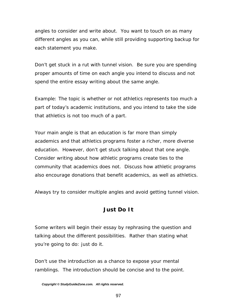angles to consider and write about. You want to touch on as many different angles as you can, while still providing supporting backup for each statement you make.

Don't get stuck in a rut with tunnel vision. Be sure you are spending proper amounts of time on each angle you intend to discuss and not spend the entire essay writing about the same angle.

Example: The topic is whether or not athletics represents too much a part of today's academic institutions, and you intend to take the side that athletics is not too much of a part.

Your main angle is that an education is far more than simply academics and that athletics programs foster a richer, more diverse education. However, don't get stuck talking about that one angle. Consider writing about how athletic programs create ties to the community that academics does not. Discuss how athletic programs also encourage donations that benefit academics, as well as athletics.

Always try to consider multiple angles and avoid getting tunnel vision.

### **Just Do It**

Some writers will begin their essay by rephrasing the question and talking about the different possibilities. Rather than stating what you're going to do: just do it.

Don't use the introduction as a chance to expose your mental ramblings. The introduction should be concise and to the point.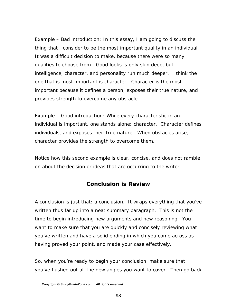Example – Bad introduction: In this essay, I am going to discuss the thing that I consider to be the most important quality in an individual. It was a difficult decision to make, because there were so many qualities to choose from. Good looks is only skin deep, but intelligence, character, and personality run much deeper. I think the one that is most important is character. Character is the most important because it defines a person, exposes their true nature, and provides strength to overcome any obstacle.

Example – Good introduction: While every characteristic in an individual is important, one stands alone: character. Character defines individuals, and exposes their true nature. When obstacles arise, character provides the strength to overcome them.

Notice how this second example is clear, concise, and does not ramble on about the decision or ideas that are occurring to the writer.

#### **Conclusion is Review**

A conclusion is just that: a conclusion. It wraps everything that you've written thus far up into a neat summary paragraph. This is not the time to begin introducing new arguments and new reasoning. You want to make sure that you are quickly and concisely reviewing what you've written and have a solid ending in which you come across as having proved your point, and made your case effectively.

So, when you're ready to begin your conclusion, make sure that you've flushed out all the new angles you want to cover. Then go back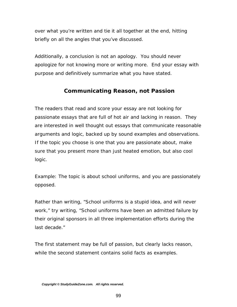over what you're written and tie it all together at the end, hitting briefly on all the angles that you've discussed.

Additionally, a conclusion is not an apology. You should never apologize for not knowing more or writing more. End your essay with purpose and definitively summarize what you have stated.

## **Communicating Reason, not Passion**

The readers that read and score your essay are not looking for passionate essays that are full of hot air and lacking in reason. They are interested in well thought out essays that communicate reasonable arguments and logic, backed up by sound examples and observations. If the topic you choose is one that you are passionate about, make sure that you present more than just heated emotion, but also cool logic.

Example: The topic is about school uniforms, and you are passionately opposed.

Rather than writing, "School uniforms is a stupid idea, and will never work," try writing, "School uniforms have been an admitted failure by their original sponsors in all three implementation efforts during the last decade."

The first statement may be full of passion, but clearly lacks reason, while the second statement contains solid facts as examples.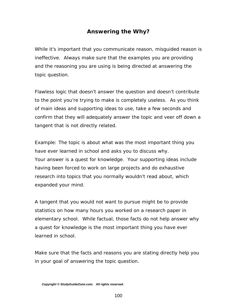## **Answering the Why?**

While it's important that you communicate reason, misguided reason is ineffective. Always make sure that the examples you are providing and the reasoning you are using is being directed at answering the topic question.

Flawless logic that doesn't answer the question and doesn't contribute to the point you're trying to make is completely useless. As you think of main ideas and supporting ideas to use, take a few seconds and confirm that they will adequately answer the topic and veer off down a tangent that is not directly related.

Example: The topic is about what was the most important thing you have ever learned in school and asks you to discuss why. Your answer is a quest for knowledge. Your supporting ideas include having been forced to work on large projects and do exhaustive research into topics that you normally wouldn't read about, which expanded your mind.

A tangent that you would not want to pursue might be to provide statistics on how many hours you worked on a research paper in elementary school. While factual, those facts do not help answer why a quest for knowledge is the most important thing you have ever learned in school.

Make sure that the facts and reasons you are stating directly help you in your goal of answering the topic question.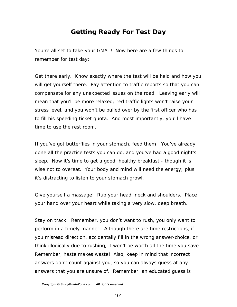# *Getting Ready For Test Day*

You're all set to take your GMAT! Now here are a few things to remember for test day:

Get there early. Know exactly where the test will be held and how you will get yourself there. Pay attention to traffic reports so that you can compensate for any unexpected issues on the road. Leaving early will mean that you'll be more relaxed; red traffic lights won't raise your stress level, and you won't be pulled over by the first officer who has to fill his speeding ticket quota. And most importantly, you'll have time to use the rest room.

If you've got butterflies in your stomach, feed them! You've already done all the practice tests you can do, and you've had a good night's sleep. Now it's time to get a good, healthy breakfast - though it is wise not to overeat. Your body and mind will need the energy; plus it's distracting to listen to your stomach growl.

Give yourself a massage! Rub your head, neck and shoulders. Place your hand over your heart while taking a very slow, deep breath.

Stay on track. Remember, you don't want to rush, you only want to perform in a timely manner. Although there are time restrictions, if you misread direction, accidentally fill in the wrong answer-choice, or think illogically due to rushing, it won't be worth all the time you save. Remember, haste makes waste! Also, keep in mind that incorrect answers don't count against you, so you can always guess at any answers that you are unsure of. Remember, an educated guess is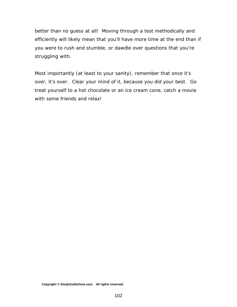better than no guess at all! Moving through a test methodically and efficiently will likely mean that you'll have more time at the end than if you were to rush and stumble, or dawdle over questions that you're struggling with.

Most importantly (at least to your sanity), remember that once it's over, it's over. Clear your mind of it, because you did your best. Go treat yourself to a hot chocolate or an ice cream cone, catch a movie with some friends and relax!